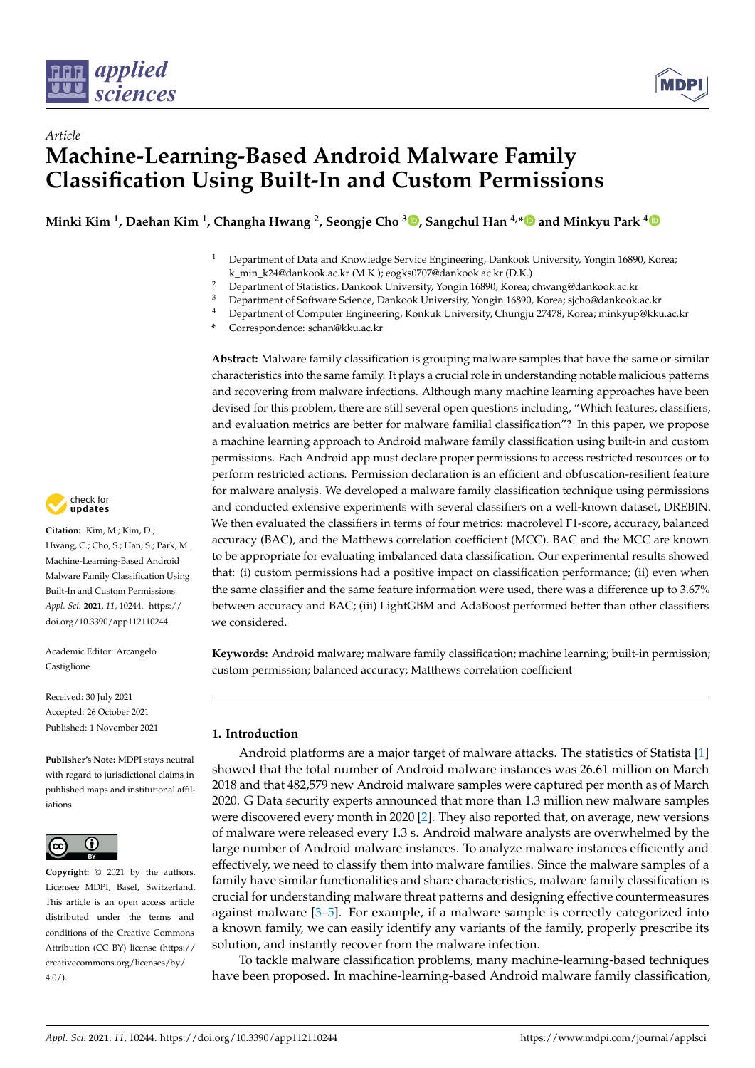



# *Article* **Machine-Learning-Based Android Malware Family Classification Using Built-In and Custom Permissions**

**Minki Kim <sup>1</sup> , Daehan Kim <sup>1</sup> , Changha Hwang <sup>2</sup> , Seongje Cho <sup>3</sup> [,](https://orcid.org/0000-0001-9917-0429) Sangchul Han 4,[\\*](https://orcid.org/0000-0001-6100-103X) and Minkyu Park [4](https://orcid.org/0000-0001-7392-6742)**

- <sup>1</sup> Department of Data and Knowledge Service Engineering, Dankook University, Yongin 16890, Korea; k\_min\_k24@dankook.ac.kr (M.K.); eogks0707@dankook.ac.kr (D.K.)
- <sup>2</sup> Department of Statistics, Dankook University, Yongin 16890, Korea; chwang@dankook.ac.kr<br><sup>3</sup> Department of Software Science, Dankook University, Yongin 16890, Korea; sisbo@dankook
- <sup>3</sup> Department of Software Science, Dankook University, Yongin 16890, Korea; sjcho@dankook.ac.kr<br><sup>4</sup> Department of Cannotas Engineering, Kanluly University Chungin 27479, Kanacanis brow@blu
- <sup>4</sup> Department of Computer Engineering, Konkuk University, Chungju 27478, Korea; minkyup@kku.ac.kr
- **\*** Correspondence: schan@kku.ac.kr

**Abstract:** Malware family classification is grouping malware samples that have the same or similar characteristics into the same family. It plays a crucial role in understanding notable malicious patterns and recovering from malware infections. Although many machine learning approaches have been devised for this problem, there are still several open questions including, "Which features, classifiers, and evaluation metrics are better for malware familial classification"? In this paper, we propose a machine learning approach to Android malware family classification using built-in and custom permissions. Each Android app must declare proper permissions to access restricted resources or to perform restricted actions. Permission declaration is an efficient and obfuscation-resilient feature for malware analysis. We developed a malware family classification technique using permissions and conducted extensive experiments with several classifiers on a well-known dataset, DREBIN. We then evaluated the classifiers in terms of four metrics: macrolevel F1-score, accuracy, balanced accuracy (BAC), and the Matthews correlation coefficient (MCC). BAC and the MCC are known to be appropriate for evaluating imbalanced data classification. Our experimental results showed that: (i) custom permissions had a positive impact on classification performance; (ii) even when the same classifier and the same feature information were used, there was a difference up to 3.67% between accuracy and BAC; (iii) LightGBM and AdaBoost performed better than other classifiers we considered.

**Keywords:** Android malware; malware family classification; machine learning; built-in permission; custom permission; balanced accuracy; Matthews correlation coefficient

# **1. Introduction**

Android platforms are a major target of malware attacks. The statistics of Statista [\[1\]](#page-21-0) showed that the total number of Android malware instances was 26.61 million on March 2018 and that 482,579 new Android malware samples were captured per month as of March 2020. G Data security experts announced that more than 1.3 million new malware samples were discovered every month in 2020 [\[2\]](#page-21-1). They also reported that, on average, new versions of malware were released every 1.3 s. Android malware analysts are overwhelmed by the large number of Android malware instances. To analyze malware instances efficiently and effectively, we need to classify them into malware families. Since the malware samples of a family have similar functionalities and share characteristics, malware family classification is crucial for understanding malware threat patterns and designing effective countermeasures against malware [\[3–](#page-21-2)[5\]](#page-21-3). For example, if a malware sample is correctly categorized into a known family, we can easily identify any variants of the family, properly prescribe its solution, and instantly recover from the malware infection.

To tackle malware classification problems, many machine-learning-based techniques have been proposed. In machine-learning-based Android malware family classification,



**Citation:** Kim, M.; Kim, D.; Hwang, C.; Cho, S.; Han, S.; Park, M. Machine-Learning-Based Android Malware Family Classification Using Built-In and Custom Permissions. *Appl. Sci.* **2021**, *11*, 10244. [https://](https://doi.org/10.3390/app112110244) [doi.org/10.3390/app112110244](https://doi.org/10.3390/app112110244)

Academic Editor: Arcangelo Castiglione

Received: 30 July 2021 Accepted: 26 October 2021 Published: 1 November 2021

**Publisher's Note:** MDPI stays neutral with regard to jurisdictional claims in published maps and institutional affiliations.



**Copyright:** © 2021 by the authors. Licensee MDPI, Basel, Switzerland. This article is an open access article distributed under the terms and conditions of the Creative Commons Attribution (CC BY) license (https:/[/](https://creativecommons.org/licenses/by/4.0/) [creativecommons.org/licenses/by/](https://creativecommons.org/licenses/by/4.0/)  $4.0/$ ).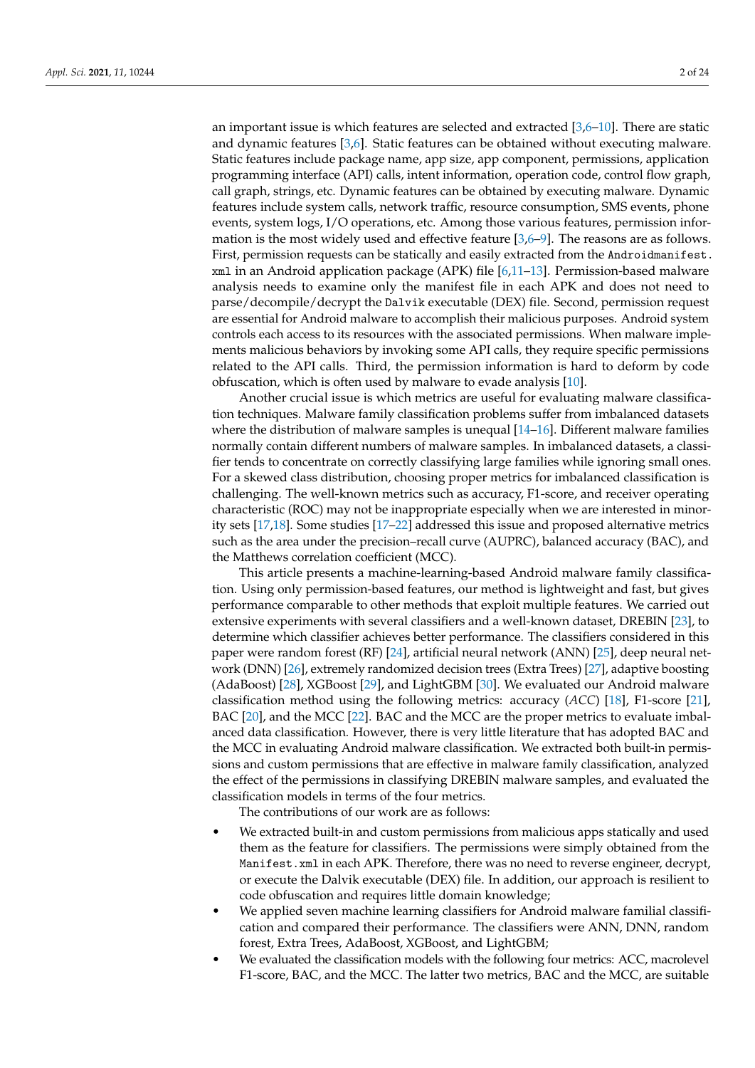an important issue is which features are selected and extracted  $[3,6–10]$  $[3,6–10]$  $[3,6–10]$ . There are static and dynamic features [\[3,](#page-21-2)[6\]](#page-21-4). Static features can be obtained without executing malware. Static features include package name, app size, app component, permissions, application programming interface (API) calls, intent information, operation code, control flow graph, call graph, strings, etc. Dynamic features can be obtained by executing malware. Dynamic features include system calls, network traffic, resource consumption, SMS events, phone events, system logs, I/O operations, etc. Among those various features, permission information is the most widely used and effective feature  $[3,6-9]$  $[3,6-9]$  $[3,6-9]$ . The reasons are as follows. First, permission requests can be statically and easily extracted from the Androidmanifest.  $x$ ml in an Android application package (APK) file  $[6,11-13]$  $[6,11-13]$  $[6,11-13]$ . Permission-based malware analysis needs to examine only the manifest file in each APK and does not need to parse/decompile/decrypt the Dalvik executable (DEX) file. Second, permission request are essential for Android malware to accomplish their malicious purposes. Android system controls each access to its resources with the associated permissions. When malware implements malicious behaviors by invoking some API calls, they require specific permissions related to the API calls. Third, the permission information is hard to deform by code obfuscation, which is often used by malware to evade analysis [\[10\]](#page-21-5).

Another crucial issue is which metrics are useful for evaluating malware classification techniques. Malware family classification problems suffer from imbalanced datasets where the distribution of malware samples is unequal [\[14](#page-21-9)[–16\]](#page-21-10). Different malware families normally contain different numbers of malware samples. In imbalanced datasets, a classifier tends to concentrate on correctly classifying large families while ignoring small ones. For a skewed class distribution, choosing proper metrics for imbalanced classification is challenging. The well-known metrics such as accuracy, F1-score, and receiver operating characteristic (ROC) may not be inappropriate especially when we are interested in minority sets [\[17](#page-21-11)[,18\]](#page-21-12). Some studies [\[17–](#page-21-11)[22\]](#page-21-13) addressed this issue and proposed alternative metrics such as the area under the precision–recall curve (AUPRC), balanced accuracy (BAC), and the Matthews correlation coefficient (MCC).

This article presents a machine-learning-based Android malware family classification. Using only permission-based features, our method is lightweight and fast, but gives performance comparable to other methods that exploit multiple features. We carried out extensive experiments with several classifiers and a well-known dataset, DREBIN [\[23\]](#page-21-14), to determine which classifier achieves better performance. The classifiers considered in this paper were random forest (RF) [\[24\]](#page-21-15), artificial neural network (ANN) [\[25\]](#page-21-16), deep neural network (DNN) [\[26\]](#page-22-0), extremely randomized decision trees (Extra Trees) [\[27\]](#page-22-1), adaptive boosting (AdaBoost) [\[28\]](#page-22-2), XGBoost [\[29\]](#page-22-3), and LightGBM [\[30\]](#page-22-4). We evaluated our Android malware classification method using the following metrics: accuracy (*ACC*) [\[18\]](#page-21-12), F1-score [\[21\]](#page-21-17), BAC [\[20\]](#page-21-18), and the MCC [\[22\]](#page-21-13). BAC and the MCC are the proper metrics to evaluate imbalanced data classification. However, there is very little literature that has adopted BAC and the MCC in evaluating Android malware classification. We extracted both built-in permissions and custom permissions that are effective in malware family classification, analyzed the effect of the permissions in classifying DREBIN malware samples, and evaluated the classification models in terms of the four metrics.

The contributions of our work are as follows:

- We extracted built-in and custom permissions from malicious apps statically and used them as the feature for classifiers. The permissions were simply obtained from the Manifest.xml in each APK. Therefore, there was no need to reverse engineer, decrypt, or execute the Dalvik executable (DEX) file. In addition, our approach is resilient to code obfuscation and requires little domain knowledge;
- We applied seven machine learning classifiers for Android malware familial classification and compared their performance. The classifiers were ANN, DNN, random forest, Extra Trees, AdaBoost, XGBoost, and LightGBM;
- We evaluated the classification models with the following four metrics: ACC, macrolevel F1-score, BAC, and the MCC. The latter two metrics, BAC and the MCC, are suitable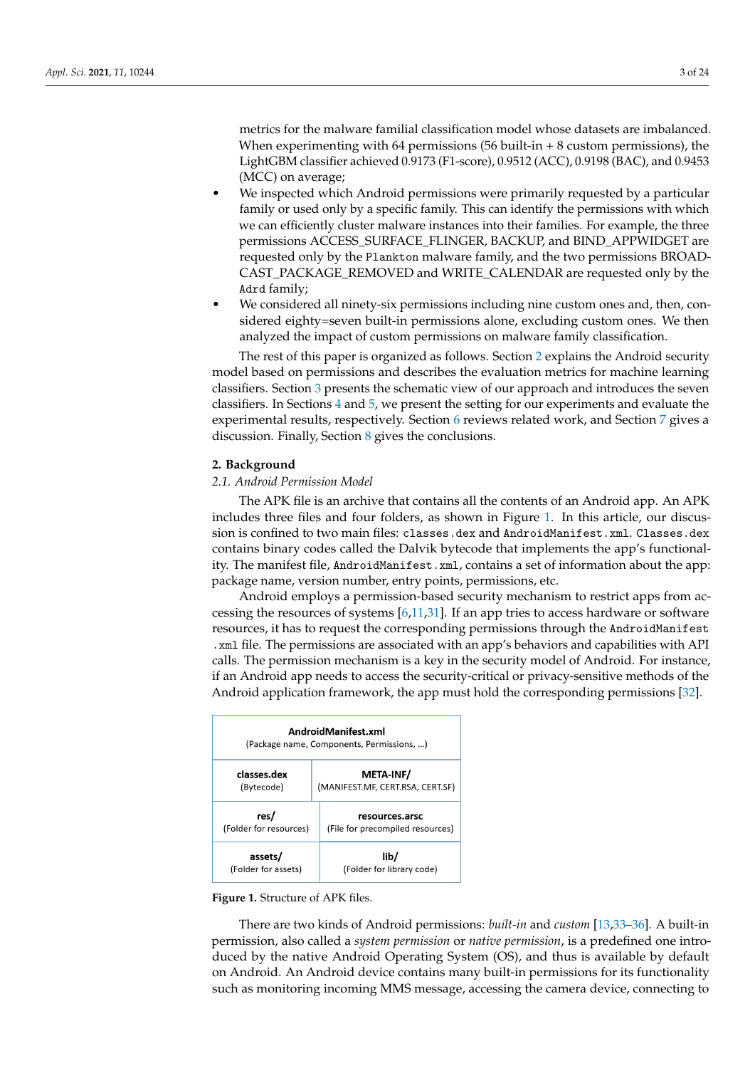metrics for the malware familial classification model whose datasets are imbalanced. When experimenting with 64 permissions (56 built-in  $+8$  custom permissions), the LightGBM classifier achieved 0.9173 (F1-score), 0.9512 (ACC), 0.9198 (BAC), and 0.9453 (MCC) on average;

- We inspected which Android permissions were primarily requested by a particular family or used only by a specific family. This can identify the permissions with which we can efficiently cluster malware instances into their families. For example, the three permissions ACCESS\_SURFACE\_FLINGER, BACKUP, and BIND\_APPWIDGET are requested only by the Plankton malware family, and the two permissions BROAD-CAST\_PACKAGE\_REMOVED and WRITE\_CALENDAR are requested only by the Adrd family;
- We considered all ninety-six permissions including nine custom ones and, then, considered eighty=seven built-in permissions alone, excluding custom ones. We then analyzed the impact of custom permissions on malware family classification.

The rest of this paper is organized as follows. Section [2](#page-2-0) explains the Android security model based on permissions and describes the evaluation metrics for machine learning classifiers. Section [3](#page-4-0) presents the schematic view of our approach and introduces the seven classifiers. In Sections [4](#page-5-0) and [5,](#page-8-0) we present the setting for our experiments and evaluate the experimental results, respectively. Section [6](#page-12-0) reviews related work, and Section [7](#page-15-0) gives a discussion. Finally, Section [8](#page-17-0) gives the conclusions.

### <span id="page-2-0"></span>**2. Background**

### *2.1. Android Permission Model*

The APK file is an archive that contains all the contents of an Android app. An APK includes three files and four folders, as shown in Figure [1.](#page-2-1) In this article, our discussion is confined to two main files: classes.dex and AndroidManifest.xml. Classes.dex contains binary codes called the Dalvik bytecode that implements the app's functionality. The manifest file, AndroidManifest.xml, contains a set of information about the app: package name, version number, entry points, permissions, etc.

Android employs a permission-based security mechanism to restrict apps from accessing the resources of systems  $[6,11,31]$  $[6,11,31]$  $[6,11,31]$ . If an app tries to access hardware or software resources, it has to request the corresponding permissions through the AndroidManifest .xml file. The permissions are associated with an app's behaviors and capabilities with API calls. The permission mechanism is a key in the security model of Android. For instance, if an Android app needs to access the security-critical or privacy-sensitive methods of the Android application framework, the app must hold the corresponding permissions [\[32\]](#page-22-6).

<span id="page-2-1"></span>

| AndroidManifest.xml<br>(Package name, Components, Permissions, ) |                                                    |  |  |  |  |  |  |  |
|------------------------------------------------------------------|----------------------------------------------------|--|--|--|--|--|--|--|
| classes.dex<br>(Bytecode)                                        | META-INF/<br>(MANIFEST.MF, CERT.RSA, CERT.SF)      |  |  |  |  |  |  |  |
| res/<br>(Folder for resources)                                   | resources.arsc<br>(File for precompiled resources) |  |  |  |  |  |  |  |
| assets/<br>(Folder for assets)                                   | lib/<br>(Folder for library code)                  |  |  |  |  |  |  |  |

**Figure 1.** Structure of APK files.

There are two kinds of Android permissions: *built-in* and *custom* [\[13,](#page-21-8)[33](#page-22-7)[–36\]](#page-22-8). A built-in permission, also called a *system permission* or *native permission*, is a predefined one introduced by the native Android Operating System (OS), and thus is available by default on Android. An Android device contains many built-in permissions for its functionality such as monitoring incoming MMS message, accessing the camera device, connecting to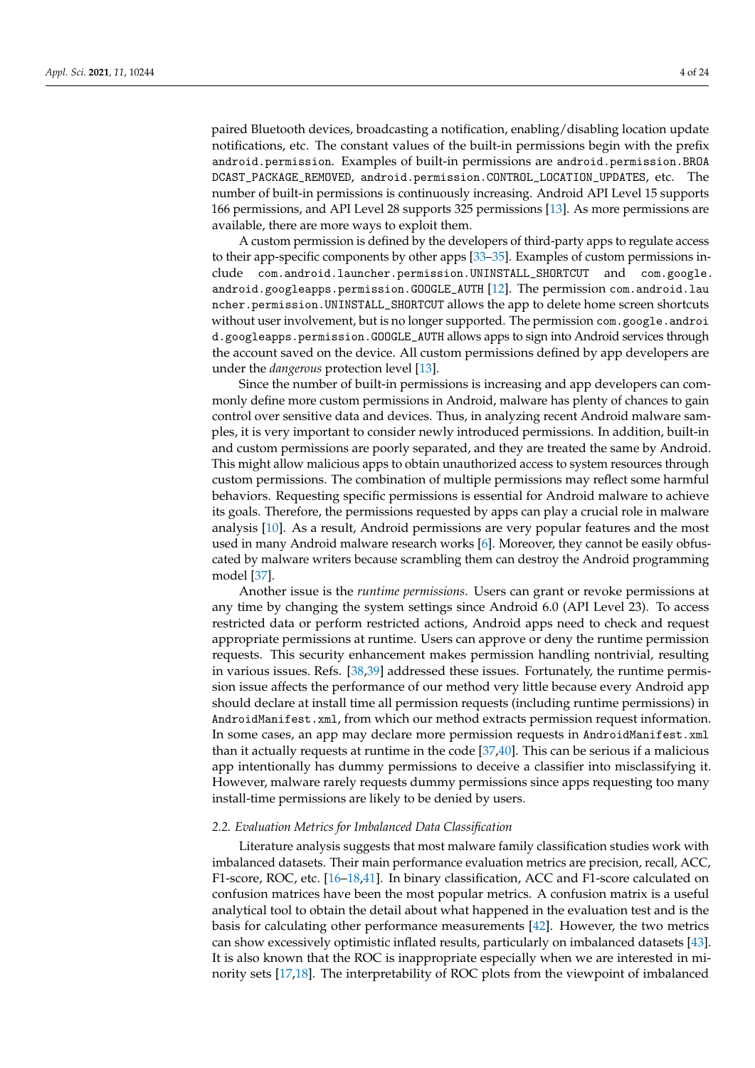paired Bluetooth devices, broadcasting a notification, enabling/disabling location update notifications, etc. The constant values of the built-in permissions begin with the prefix android.permission. Examples of built-in permissions are android.permission.BROA DCAST\_PACKAGE\_REMOVED, android.permission.CONTROL\_LOCATION\_UPDATES, etc. The number of built-in permissions is continuously increasing. Android API Level 15 supports 166 permissions, and API Level 28 supports 325 permissions [\[13\]](#page-21-8). As more permissions are available, there are more ways to exploit them.

A custom permission is defined by the developers of third-party apps to regulate access to their app-specific components by other apps [\[33](#page-22-7)[–35\]](#page-22-9). Examples of custom permissions include com.android.launcher.permission.UNINSTALL\_SHORTCUT and com.google. android.googleapps.permission.GOOGLE\_AUTH [\[12\]](#page-21-19). The permission com.android.lau ncher.permission.UNINSTALL\_SHORTCUT allows the app to delete home screen shortcuts without user involvement, but is no longer supported. The permission com.google.androi d.googleapps.permission.GOOGLE\_AUTH allows apps to sign into Android services through the account saved on the device. All custom permissions defined by app developers are under the *dangerous* protection level [\[13\]](#page-21-8).

Since the number of built-in permissions is increasing and app developers can commonly define more custom permissions in Android, malware has plenty of chances to gain control over sensitive data and devices. Thus, in analyzing recent Android malware samples, it is very important to consider newly introduced permissions. In addition, built-in and custom permissions are poorly separated, and they are treated the same by Android. This might allow malicious apps to obtain unauthorized access to system resources through custom permissions. The combination of multiple permissions may reflect some harmful behaviors. Requesting specific permissions is essential for Android malware to achieve its goals. Therefore, the permissions requested by apps can play a crucial role in malware analysis [\[10\]](#page-21-5). As a result, Android permissions are very popular features and the most used in many Android malware research works [\[6\]](#page-21-4). Moreover, they cannot be easily obfuscated by malware writers because scrambling them can destroy the Android programming model [\[37\]](#page-22-10).

Another issue is the *runtime permissions*. Users can grant or revoke permissions at any time by changing the system settings since Android 6.0 (API Level 23). To access restricted data or perform restricted actions, Android apps need to check and request appropriate permissions at runtime. Users can approve or deny the runtime permission requests. This security enhancement makes permission handling nontrivial, resulting in various issues. Refs. [\[38](#page-22-11)[,39\]](#page-22-12) addressed these issues. Fortunately, the runtime permission issue affects the performance of our method very little because every Android app should declare at install time all permission requests (including runtime permissions) in AndroidManifest.xml, from which our method extracts permission request information. In some cases, an app may declare more permission requests in AndroidManifest.xml than it actually requests at runtime in the code [\[37,](#page-22-10)[40\]](#page-22-13). This can be serious if a malicious app intentionally has dummy permissions to deceive a classifier into misclassifying it. However, malware rarely requests dummy permissions since apps requesting too many install-time permissions are likely to be denied by users.

### *2.2. Evaluation Metrics for Imbalanced Data Classification*

Literature analysis suggests that most malware family classification studies work with imbalanced datasets. Their main performance evaluation metrics are precision, recall, ACC, F1-score, ROC, etc. [\[16–](#page-21-10)[18](#page-21-12)[,41\]](#page-22-14). In binary classification, ACC and F1-score calculated on confusion matrices have been the most popular metrics. A confusion matrix is a useful analytical tool to obtain the detail about what happened in the evaluation test and is the basis for calculating other performance measurements [\[42\]](#page-22-15). However, the two metrics can show excessively optimistic inflated results, particularly on imbalanced datasets [\[43\]](#page-22-16). It is also known that the ROC is inappropriate especially when we are interested in minority sets [\[17](#page-21-11)[,18\]](#page-21-12). The interpretability of ROC plots from the viewpoint of imbalanced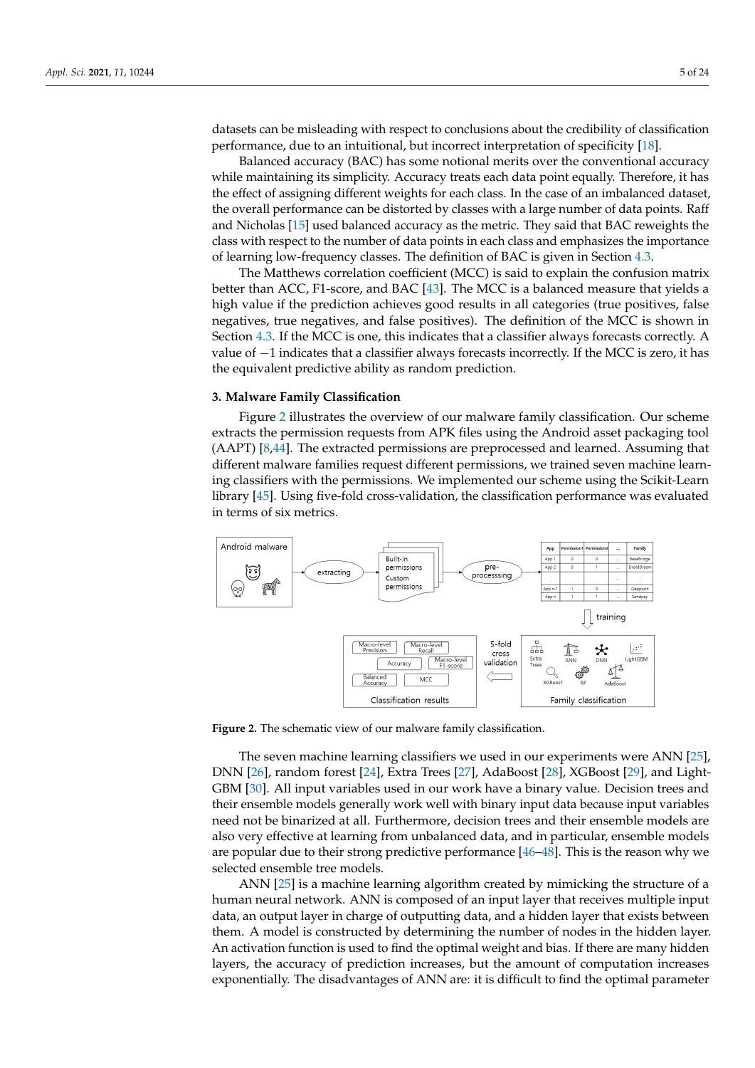datasets can be misleading with respect to conclusions about the credibility of classification performance, due to an intuitional, but incorrect interpretation of specificity [\[18\]](#page-21-12).

Balanced accuracy (BAC) has some notional merits over the conventional accuracy while maintaining its simplicity. Accuracy treats each data point equally. Therefore, it has the effect of assigning different weights for each class. In the case of an imbalanced dataset, the overall performance can be distorted by classes with a large number of data points. Raff and Nicholas [\[15\]](#page-21-20) used balanced accuracy as the metric. They said that BAC reweights the class with respect to the number of data points in each class and emphasizes the importance of learning low-frequency classes. The definition of BAC is given in Section [4.3.](#page-7-0)

The Matthews correlation coefficient (MCC) is said to explain the confusion matrix better than ACC, F1-score, and BAC [\[43\]](#page-22-16). The MCC is a balanced measure that yields a high value if the prediction achieves good results in all categories (true positives, false negatives, true negatives, and false positives). The definition of the MCC is shown in Section [4.3.](#page-7-0) If the MCC is one, this indicates that a classifier always forecasts correctly. A value of −1 indicates that a classifier always forecasts incorrectly. If the MCC is zero, it has the equivalent predictive ability as random prediction.

### <span id="page-4-0"></span>**3. Malware Family Classification**

Figure [2](#page-4-1) illustrates the overview of our malware family classification. Our scheme extracts the permission requests from APK files using the Android asset packaging tool (AAPT) [\[8](#page-21-21)[,44\]](#page-22-17). The extracted permissions are preprocessed and learned. Assuming that different malware families request different permissions, we trained seven machine learning classifiers with the permissions. We implemented our scheme using the Scikit-Learn library [\[45\]](#page-22-18). Using five-fold cross-validation, the classification performance was evaluated in terms of six metrics.

<span id="page-4-1"></span>

**Figure 2.** The schematic view of our malware family classification.

The seven machine learning classifiers we used in our experiments were ANN [\[25\]](#page-21-16), DNN [\[26\]](#page-22-0), random forest [\[24\]](#page-21-15), Extra Trees [\[27\]](#page-22-1), AdaBoost [\[28\]](#page-22-2), XGBoost [\[29\]](#page-22-3), and Light-GBM [\[30\]](#page-22-4). All input variables used in our work have a binary value. Decision trees and their ensemble models generally work well with binary input data because input variables need not be binarized at all. Furthermore, decision trees and their ensemble models are also very effective at learning from unbalanced data, and in particular, ensemble models are popular due to their strong predictive performance [\[46](#page-22-19)[–48\]](#page-22-20). This is the reason why we selected ensemble tree models.

ANN [\[25\]](#page-21-16) is a machine learning algorithm created by mimicking the structure of a human neural network. ANN is composed of an input layer that receives multiple input data, an output layer in charge of outputting data, and a hidden layer that exists between them. A model is constructed by determining the number of nodes in the hidden layer. An activation function is used to find the optimal weight and bias. If there are many hidden layers, the accuracy of prediction increases, but the amount of computation increases exponentially. The disadvantages of ANN are: it is difficult to find the optimal parameter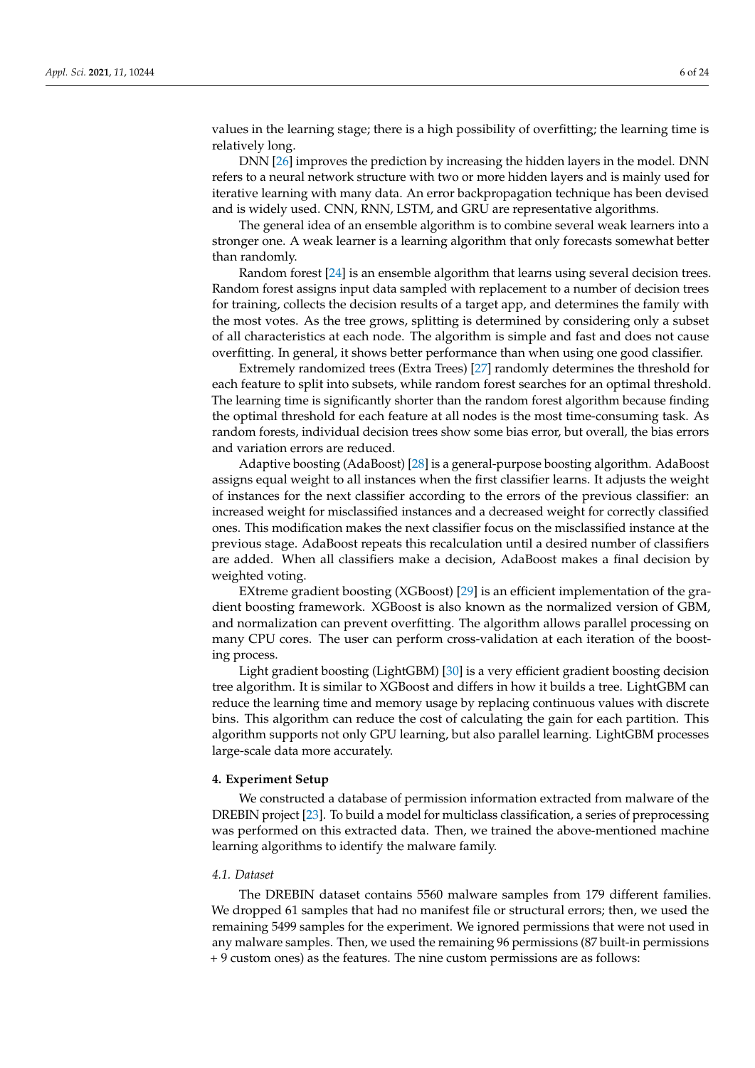values in the learning stage; there is a high possibility of overfitting; the learning time is relatively long.

DNN [\[26\]](#page-22-0) improves the prediction by increasing the hidden layers in the model. DNN refers to a neural network structure with two or more hidden layers and is mainly used for iterative learning with many data. An error backpropagation technique has been devised and is widely used. CNN, RNN, LSTM, and GRU are representative algorithms.

The general idea of an ensemble algorithm is to combine several weak learners into a stronger one. A weak learner is a learning algorithm that only forecasts somewhat better than randomly.

Random forest [\[24\]](#page-21-15) is an ensemble algorithm that learns using several decision trees. Random forest assigns input data sampled with replacement to a number of decision trees for training, collects the decision results of a target app, and determines the family with the most votes. As the tree grows, splitting is determined by considering only a subset of all characteristics at each node. The algorithm is simple and fast and does not cause overfitting. In general, it shows better performance than when using one good classifier.

Extremely randomized trees (Extra Trees) [\[27\]](#page-22-1) randomly determines the threshold for each feature to split into subsets, while random forest searches for an optimal threshold. The learning time is significantly shorter than the random forest algorithm because finding the optimal threshold for each feature at all nodes is the most time-consuming task. As random forests, individual decision trees show some bias error, but overall, the bias errors and variation errors are reduced.

Adaptive boosting (AdaBoost) [\[28\]](#page-22-2) is a general-purpose boosting algorithm. AdaBoost assigns equal weight to all instances when the first classifier learns. It adjusts the weight of instances for the next classifier according to the errors of the previous classifier: an increased weight for misclassified instances and a decreased weight for correctly classified ones. This modification makes the next classifier focus on the misclassified instance at the previous stage. AdaBoost repeats this recalculation until a desired number of classifiers are added. When all classifiers make a decision, AdaBoost makes a final decision by weighted voting.

EXtreme gradient boosting (XGBoost) [\[29\]](#page-22-3) is an efficient implementation of the gradient boosting framework. XGBoost is also known as the normalized version of GBM, and normalization can prevent overfitting. The algorithm allows parallel processing on many CPU cores. The user can perform cross-validation at each iteration of the boosting process.

Light gradient boosting (LightGBM) [\[30\]](#page-22-4) is a very efficient gradient boosting decision tree algorithm. It is similar to XGBoost and differs in how it builds a tree. LightGBM can reduce the learning time and memory usage by replacing continuous values with discrete bins. This algorithm can reduce the cost of calculating the gain for each partition. This algorithm supports not only GPU learning, but also parallel learning. LightGBM processes large-scale data more accurately.

### <span id="page-5-0"></span>**4. Experiment Setup**

We constructed a database of permission information extracted from malware of the DREBIN project [\[23\]](#page-21-14). To build a model for multiclass classification, a series of preprocessing was performed on this extracted data. Then, we trained the above-mentioned machine learning algorithms to identify the malware family.

#### <span id="page-5-1"></span>*4.1. Dataset*

The DREBIN dataset contains 5560 malware samples from 179 different families. We dropped 61 samples that had no manifest file or structural errors; then, we used the remaining 5499 samples for the experiment. We ignored permissions that were not used in any malware samples. Then, we used the remaining 96 permissions (87 built-in permissions + 9 custom ones) as the features. The nine custom permissions are as follows: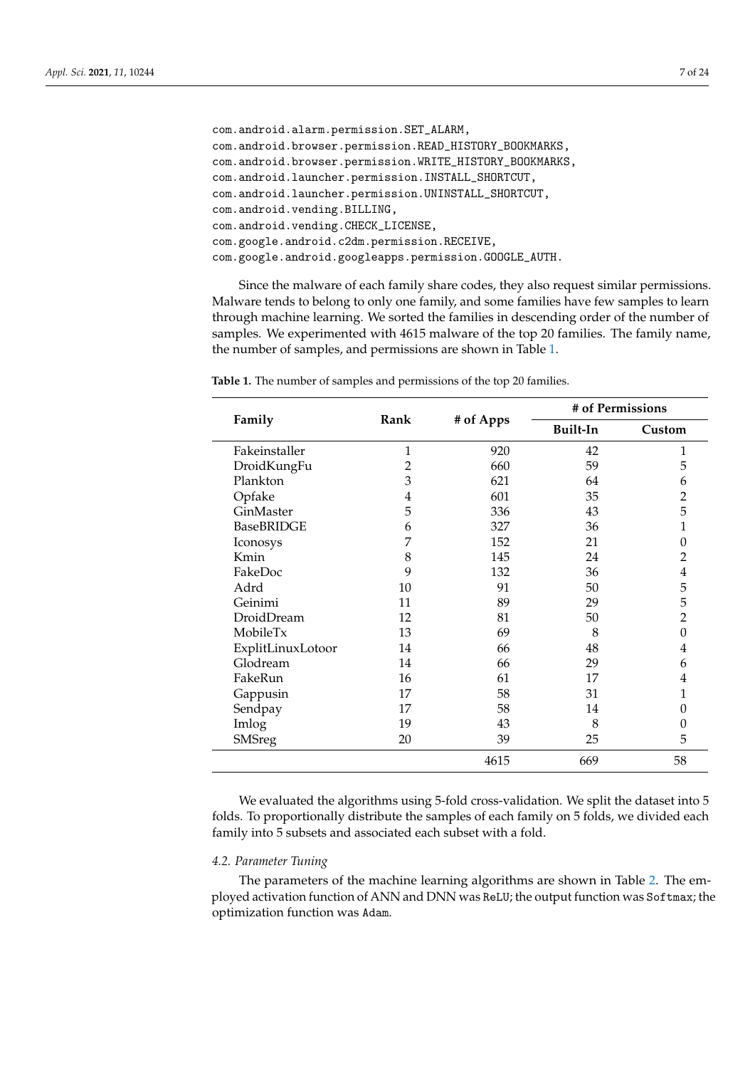```
com.android.alarm.permission.SET_ALARM,
com.android.browser.permission.READ_HISTORY_BOOKMARKS,
com.android.browser.permission.WRITE_HISTORY_BOOKMARKS,
com.android.launcher.permission.INSTALL_SHORTCUT,
com.android.launcher.permission.UNINSTALL_SHORTCUT,
com.android.vending.BILLING,
com.android.vending.CHECK_LICENSE,
com.google.android.c2dm.permission.RECEIVE,
com.google.android.googleapps.permission.GOOGLE_AUTH.
```
Since the malware of each family share codes, they also request similar permissions. Malware tends to belong to only one family, and some families have few samples to learn through machine learning. We sorted the families in descending order of the number of samples. We experimented with 4615 malware of the top 20 families. The family name, the number of samples, and permissions are shown in Table [1.](#page-6-0)

|                   |      |           | # of Permissions |          |  |  |  |
|-------------------|------|-----------|------------------|----------|--|--|--|
| Family            | Rank | # of Apps | Built-In         | Custom   |  |  |  |
| Fakeinstaller     | 1    | 920       | 42               | 1        |  |  |  |
| DroidKungFu       | 2    | 660       | 59               | 5        |  |  |  |
| Plankton          | 3    | 621       | 64               | 6        |  |  |  |
| Opfake            | 4    | 601       | 35               | 2        |  |  |  |
| GinMaster         | 5    | 336       | 43               | 5        |  |  |  |
| <b>BaseBRIDGE</b> | 6    | 327       | 36               | 1        |  |  |  |
| Iconosys          | 7    | 152       | 21               | 0        |  |  |  |
| Kmin              | 8    | 145       | 24               | 2        |  |  |  |
| FakeDoc           | 9    | 132       | 36               | 4        |  |  |  |
| Adrd              | 10   | 91        | 50               | 5        |  |  |  |
| Geinimi           | 11   | 89        | 29               | 5        |  |  |  |
| DroidDream        | 12   | 81        | 50               | 2        |  |  |  |
| MobileTx          | 13   | 69        | 8                | 0        |  |  |  |
| ExplitLinuxLotoor | 14   | 66        | 48               | 4        |  |  |  |
| Glodream          | 14   | 66        | 29               | 6        |  |  |  |
| FakeRun           | 16   | 61        | 17               | 4        |  |  |  |
| Gappusin          | 17   | 58        | 31               | 1        |  |  |  |
| Sendpay           | 17   | 58        | 14               | 0        |  |  |  |
| Imlog             | 19   | 43        | 8                | $\theta$ |  |  |  |
| <b>SMSreg</b>     | 20   | 39        | 25               | 5        |  |  |  |
|                   |      | 4615      | 669              | 58       |  |  |  |

<span id="page-6-0"></span>**Table 1.** The number of samples and permissions of the top 20 families.

We evaluated the algorithms using 5-fold cross-validation. We split the dataset into 5 folds. To proportionally distribute the samples of each family on 5 folds, we divided each family into 5 subsets and associated each subset with a fold.

## *4.2. Parameter Tuning*

The parameters of the machine learning algorithms are shown in Table [2.](#page-7-1) The employed activation function of ANN and DNN was ReLU; the output function was Softmax; the optimization function was Adam.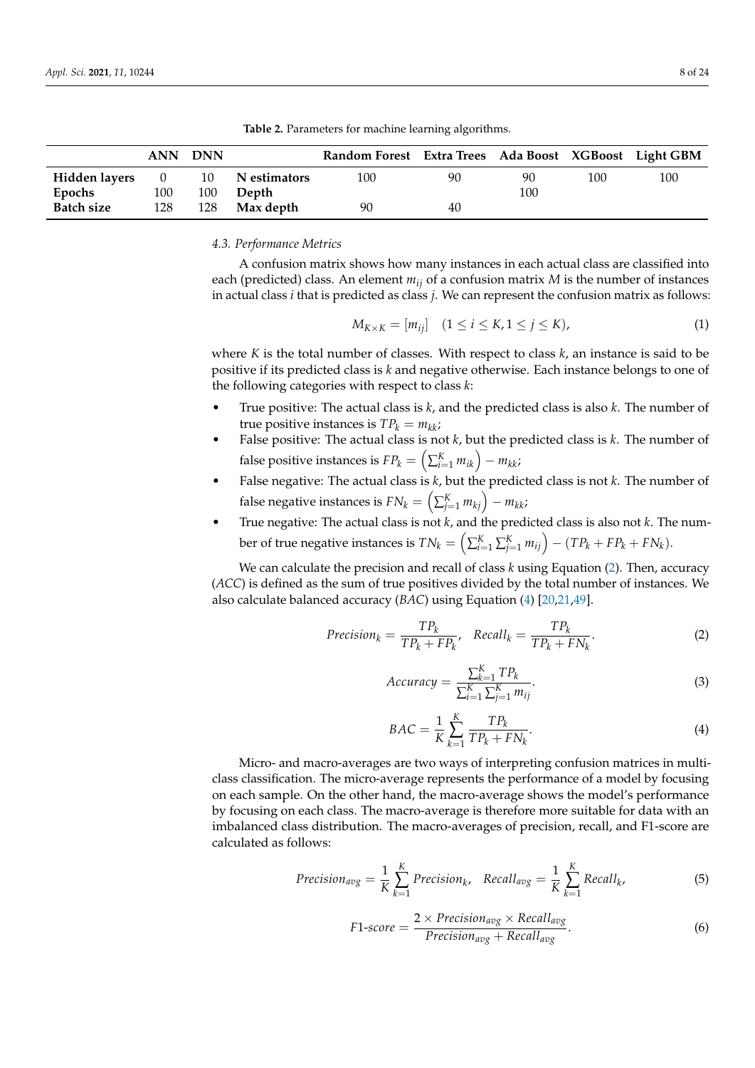<span id="page-7-1"></span>

|                   | <b>ANN</b> | <b>DNN</b> |              | Random Forest Extra Trees Ada Boost XGBoost Light GBM |    |     |     |     |
|-------------------|------------|------------|--------------|-------------------------------------------------------|----|-----|-----|-----|
| Hidden layers     | $\cup$     | 10         | N estimators | 100                                                   | 90 | 90  | 100 | 100 |
| Epochs            | 100        | 100        | Depth        |                                                       |    | 100 |     |     |
| <b>Batch size</b> | 128        | 128        | Max depth    | 90                                                    | 40 |     |     |     |

**Table 2.** Parameters for machine learning algorithms.

### <span id="page-7-0"></span>*4.3. Performance Metrics*

A confusion matrix shows how many instances in each actual class are classified into each (predicted) class. An element *mij* of a confusion matrix *M* is the number of instances in actual class *i* that is predicted as class *j*. We can represent the confusion matrix as follows:

$$
M_{K\times K} = [m_{ij}] \quad (1 \le i \le K, 1 \le j \le K), \tag{1}
$$

where *K* is the total number of classes. With respect to class *k*, an instance is said to be positive if its predicted class is *k* and negative otherwise. Each instance belongs to one of the following categories with respect to class *k*:

- True positive: The actual class is *k*, and the predicted class is also *k*. The number of true positive instances is  $TP_k = m_{kk}$ ;
- False positive: The actual class is not *k*, but the predicted class is *k*. The number of false positive instances is  $FP_k = \left(\sum_{i=1}^K m_{ik}\right) - m_{kk}$ ;
- False negative: The actual class is *k*, but the predicted class is not *k*. The number of  $f$ alse negative instances is  $FN_k = \left( \sum_{j=1}^{K} m_{kj} \right) - m_{kk}$
- True negative: The actual class is not *k*, and the predicted class is also not *k*. The number of true negative instances is  $TN_k = \left( \sum_{i=1}^K \sum_{j=1}^K m_{ij} \right) - (TP_k + FP_k + FN_k).$

We can calculate the precision and recall of class *k* using Equation [\(2\)](#page-7-2). Then, accuracy (*ACC*) is defined as the sum of true positives divided by the total number of instances. We also calculate balanced accuracy (*BAC*) using Equation [\(4\)](#page-7-3) [\[20](#page-21-18)[,21](#page-21-17)[,49\]](#page-22-21).

<span id="page-7-2"></span>
$$
Precision_k = \frac{TP_k}{TP_k + FP_k}, \quad Recall_k = \frac{TP_k}{TP_k + FN_k}.\tag{2}
$$

$$
Accuracy = \frac{\sum_{k=1}^{K} TP_k}{\sum_{i=1}^{K} \sum_{j=1}^{K} m_{ij}}.
$$
\n(3)

<span id="page-7-3"></span>
$$
BAC = \frac{1}{K} \sum_{k=1}^{K} \frac{TP_k}{TP_k + FN_k}.
$$
\n<sup>(4)</sup>

Micro- and macro-averages are two ways of interpreting confusion matrices in multiclass classification. The micro-average represents the performance of a model by focusing on each sample. On the other hand, the macro-average shows the model's performance by focusing on each class. The macro-average is therefore more suitable for data with an imbalanced class distribution. The macro-averages of precision, recall, and F1-score are calculated as follows:

$$
Precision_{avg} = \frac{1}{K} \sum_{k=1}^{K} Precision_k, Recall_{avg} = \frac{1}{K} \sum_{k=1}^{K} Recall_k,
$$
\n(5)

$$
F1-score = \frac{2 \times Precision_{avg} \times Recall_{avg}}{Precision_{avg} + Recall_{avg}}.
$$
\n(6)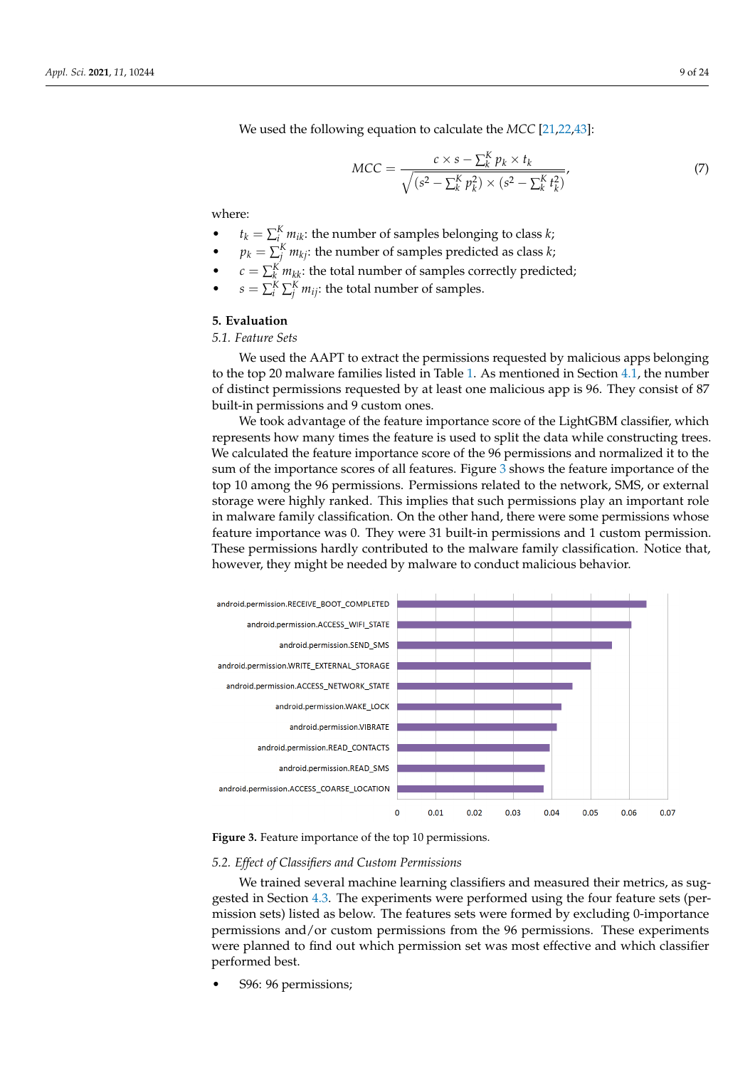We used the following equation to calculate the *MCC* [\[21,](#page-21-17)[22](#page-21-13)[,43\]](#page-22-16):

$$
MCC = \frac{c \times s - \sum_{k}^{K} p_{k} \times t_{k}}{\sqrt{(s^{2} - \sum_{k}^{K} p_{k}^{2}) \times (s^{2} - \sum_{k}^{K} t_{k}^{2})}},
$$
\n(7)

where:

- $t_k = \sum_{i=1}^{K} m_{ik}$ : the number of samples belonging to class *k*;
- *p*<sub>*k*</sub> =  $\sum_{j}^{K} m_{kj}$ : the number of samples predicted as class *k*;
- $c = \sum_{k}^{K} m_{kk}$ : the total number of samples correctly predicted;
- $s = \sum_{i=1}^{K} \sum_{j=1}^{K} m_{ij}$ : the total number of samples.

# <span id="page-8-0"></span>**5. Evaluation**

# *5.1. Feature Sets*

We used the AAPT to extract the permissions requested by malicious apps belonging to the top 20 malware families listed in Table [1.](#page-6-0) As mentioned in Section [4.1,](#page-5-1) the number of distinct permissions requested by at least one malicious app is 96. They consist of 87 built-in permissions and 9 custom ones.

We took advantage of the feature importance score of the LightGBM classifier, which represents how many times the feature is used to split the data while constructing trees. We calculated the feature importance score of the 96 permissions and normalized it to the sum of the importance scores of all features. Figure [3](#page-8-1) shows the feature importance of the top 10 among the 96 permissions. Permissions related to the network, SMS, or external storage were highly ranked. This implies that such permissions play an important role in malware family classification. On the other hand, there were some permissions whose feature importance was 0. They were 31 built-in permissions and 1 custom permission. These permissions hardly contributed to the malware family classification. Notice that, however, they might be needed by malware to conduct malicious behavior.

<span id="page-8-1"></span>



## *5.2. Effect of Classifiers and Custom Permissions*

We trained several machine learning classifiers and measured their metrics, as suggested in Section [4.3.](#page-7-0) The experiments were performed using the four feature sets (permission sets) listed as below. The features sets were formed by excluding 0-importance permissions and/or custom permissions from the 96 permissions. These experiments were planned to find out which permission set was most effective and which classifier performed best.

• S96: 96 permissions;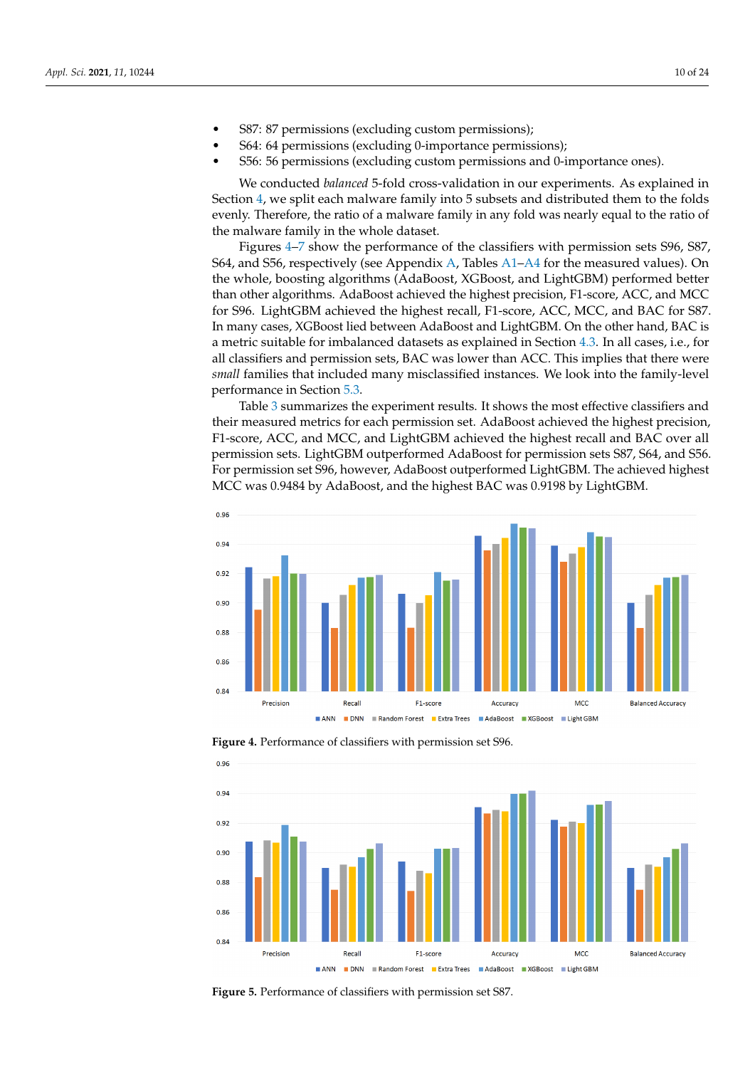- S87: 87 permissions (excluding custom permissions);
- S64: 64 permissions (excluding 0-importance permissions);
- S56: 56 permissions (excluding custom permissions and 0-importance ones).

We conducted *balanced* 5-fold cross-validation in our experiments. As explained in Section [4,](#page-5-0) we split each malware family into 5 subsets and distributed them to the folds evenly. Therefore, the ratio of a malware family in any fold was nearly equal to the ratio of the malware family in the whole dataset.

Figures [4](#page-9-0)[–7](#page-10-0) show the performance of the classifiers with permission sets S96, S87, S64, and S56, respectively (see Appendix [A,](#page-18-0) Tables [A1](#page-18-1)[–A4](#page-19-0) for the measured values). On the whole, boosting algorithms (AdaBoost, XGBoost, and LightGBM) performed better than other algorithms. AdaBoost achieved the highest precision, F1-score, ACC, and MCC for S96. LightGBM achieved the highest recall, F1-score, ACC, MCC, and BAC for S87. In many cases, XGBoost lied between AdaBoost and LightGBM. On the other hand, BAC is a metric suitable for imbalanced datasets as explained in Section [4.3.](#page-7-0) In all cases, i.e., for all classifiers and permission sets, BAC was lower than ACC. This implies that there were *small* families that included many misclassified instances. We look into the family-level performance in Section [5.3.](#page-11-0)

Table [3](#page-10-1) summarizes the experiment results. It shows the most effective classifiers and their measured metrics for each permission set. AdaBoost achieved the highest precision, F1-score, ACC, and MCC, and LightGBM achieved the highest recall and BAC over all permission sets. LightGBM outperformed AdaBoost for permission sets S87, S64, and S56. For permission set S96, however, AdaBoost outperformed LightGBM. The achieved highest MCC was 0.9484 by AdaBoost, and the highest BAC was 0.9198 by LightGBM.

<span id="page-9-0"></span>

**Figure 4.** Performance of classifiers with permission set S96.



**Figure 5.** Performance of classifiers with permission set S87.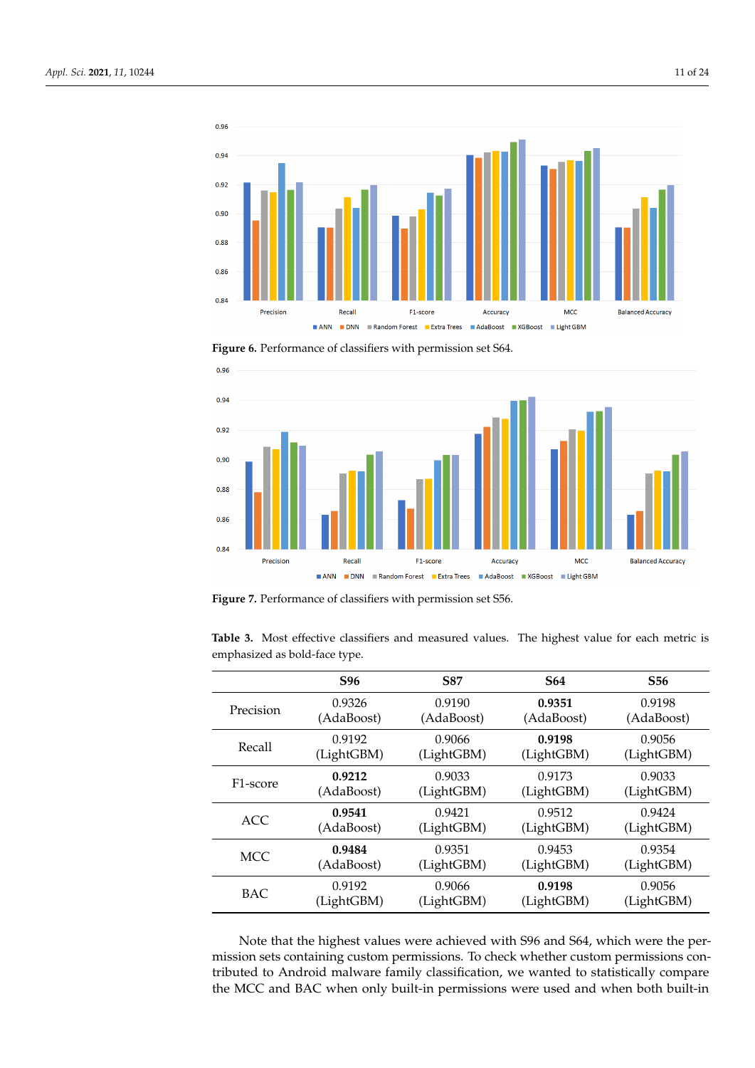

<span id="page-10-0"></span>**Figure 6.** Performance of classifiers with permission set S64.



**Figure 7.** Performance of classifiers with permission set S56.

<span id="page-10-1"></span>

| <b>Table 3.</b> Most effective classifiers and measured values. The highest value for each metric is |  |  |  |  |  |  |
|------------------------------------------------------------------------------------------------------|--|--|--|--|--|--|
| emphasized as bold-face type.                                                                        |  |  |  |  |  |  |

|                       | S96        | <b>S87</b> | <b>S64</b> | <b>S56</b> |
|-----------------------|------------|------------|------------|------------|
| Precision             | 0.9326     | 0.9190     | 0.9351     | 0.9198     |
|                       | (AdaBoost) | (AdaBoost) | (AdaBoost) | (AdaBoost) |
| Recall                | 0.9192     | 0.9066     | 0.9198     | 0.9056     |
|                       | (LightGBM) | (LightGBM) | (LightGBM) | (LightGBM) |
| F <sub>1</sub> -score | 0.9212     | 0.9033     | 0.9173     | 0.9033     |
|                       | (AdaBoost) | (LightGBM) | (LightGBM) | (LightGBM) |
| <b>ACC</b>            | 0.9541     | 0.9421     | 0.9512     | 0.9424     |
|                       | (AdaBoost) | (LightGBM) | (LightGBM) | (LightGBM) |
| <b>MCC</b>            | 0.9484     | 0.9351     | 0.9453     | 0.9354     |
|                       | (AdaBoost) | (LightGBM) | (LightGBM) | (LightGBM) |
| <b>BAC</b>            | 0.9192     | 0.9066     | 0.9198     | 0.9056     |
|                       | (LightGBM) | (LightGBM) | (LightGBM) | (LightGBM) |

Note that the highest values were achieved with S96 and S64, which were the permission sets containing custom permissions. To check whether custom permissions contributed to Android malware family classification, we wanted to statistically compare the MCC and BAC when only built-in permissions were used and when both built-in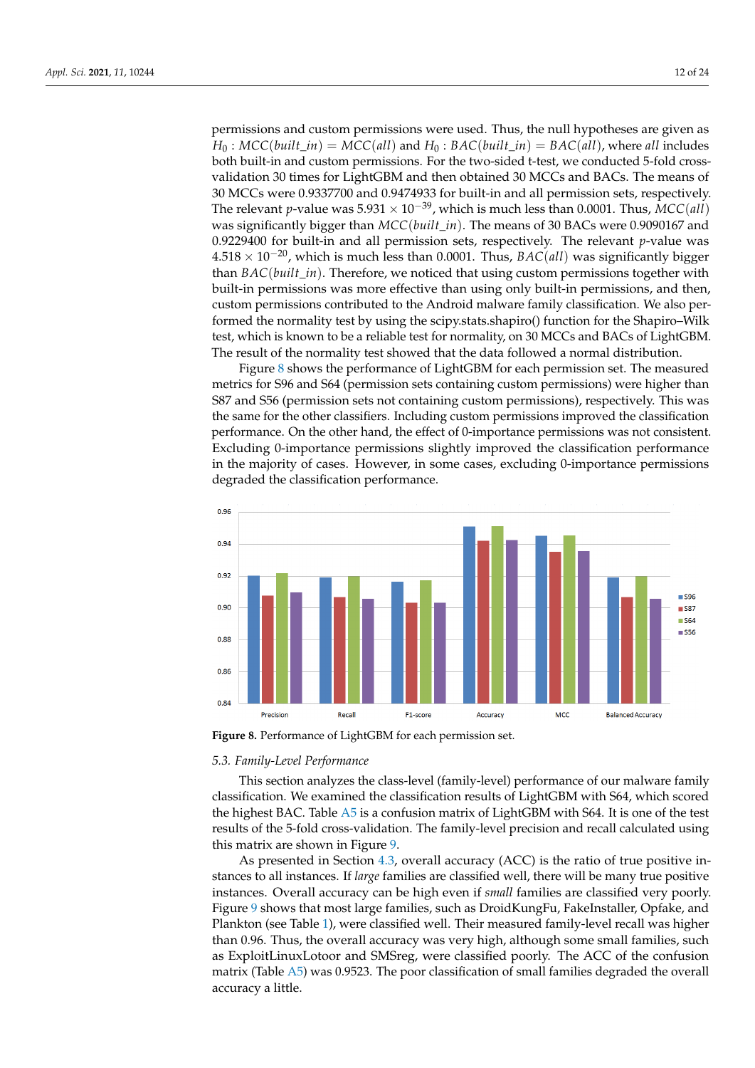permissions and custom permissions were used. Thus, the null hypotheses are given as  $H_0$ :  $MCC(built_in) = MCC(all)$  and  $H_0$ :  $BAC(built_in) = BAC(all)$ , where *all* includes both built-in and custom permissions. For the two-sided t-test, we conducted 5-fold crossvalidation 30 times for LightGBM and then obtained 30 MCCs and BACs. The means of 30 MCCs were 0.9337700 and 0.9474933 for built-in and all permission sets, respectively. The relevant *p*-value was  $5.931 \times 10^{-39}$ , which is much less than 0.0001. Thus, *MCC*(*all*) was significantly bigger than *MCC*(*built*\_*in*). The means of 30 BACs were 0.9090167 and 0.9229400 for built-in and all permission sets, respectively. The relevant *p*-value was 4.518 × 10−20, which is much less than 0.0001. Thus, *BAC*(*all*) was significantly bigger than *BAC*(*built*\_*in*). Therefore, we noticed that using custom permissions together with built-in permissions was more effective than using only built-in permissions, and then, custom permissions contributed to the Android malware family classification. We also performed the normality test by using the scipy.stats.shapiro() function for the Shapiro–Wilk test, which is known to be a reliable test for normality, on 30 MCCs and BACs of LightGBM. The result of the normality test showed that the data followed a normal distribution.

Figure [8](#page-11-1) shows the performance of LightGBM for each permission set. The measured metrics for S96 and S64 (permission sets containing custom permissions) were higher than S87 and S56 (permission sets not containing custom permissions), respectively. This was the same for the other classifiers. Including custom permissions improved the classification performance. On the other hand, the effect of 0-importance permissions was not consistent. Excluding 0-importance permissions slightly improved the classification performance in the majority of cases. However, in some cases, excluding 0-importance permissions degraded the classification performance.

<span id="page-11-1"></span>

**Figure 8.** Performance of LightGBM for each permission set.

### <span id="page-11-0"></span>*5.3. Family-Level Performance*

This section analyzes the class-level (family-level) performance of our malware family classification. We examined the classification results of LightGBM with S64, which scored the highest BAC. Table [A5](#page-20-0) is a confusion matrix of LightGBM with S64. It is one of the test results of the 5-fold cross-validation. The family-level precision and recall calculated using this matrix are shown in Figure [9.](#page-12-1)

As presented in Section [4.3,](#page-7-0) overall accuracy (ACC) is the ratio of true positive instances to all instances. If *large* families are classified well, there will be many true positive instances. Overall accuracy can be high even if *small* families are classified very poorly. Figure [9](#page-12-1) shows that most large families, such as DroidKungFu, FakeInstaller, Opfake, and Plankton (see Table [1\)](#page-6-0), were classified well. Their measured family-level recall was higher than 0.96. Thus, the overall accuracy was very high, although some small families, such as ExploitLinuxLotoor and SMSreg, were classified poorly. The ACC of the confusion matrix (Table [A5\)](#page-20-0) was 0.9523. The poor classification of small families degraded the overall accuracy a little.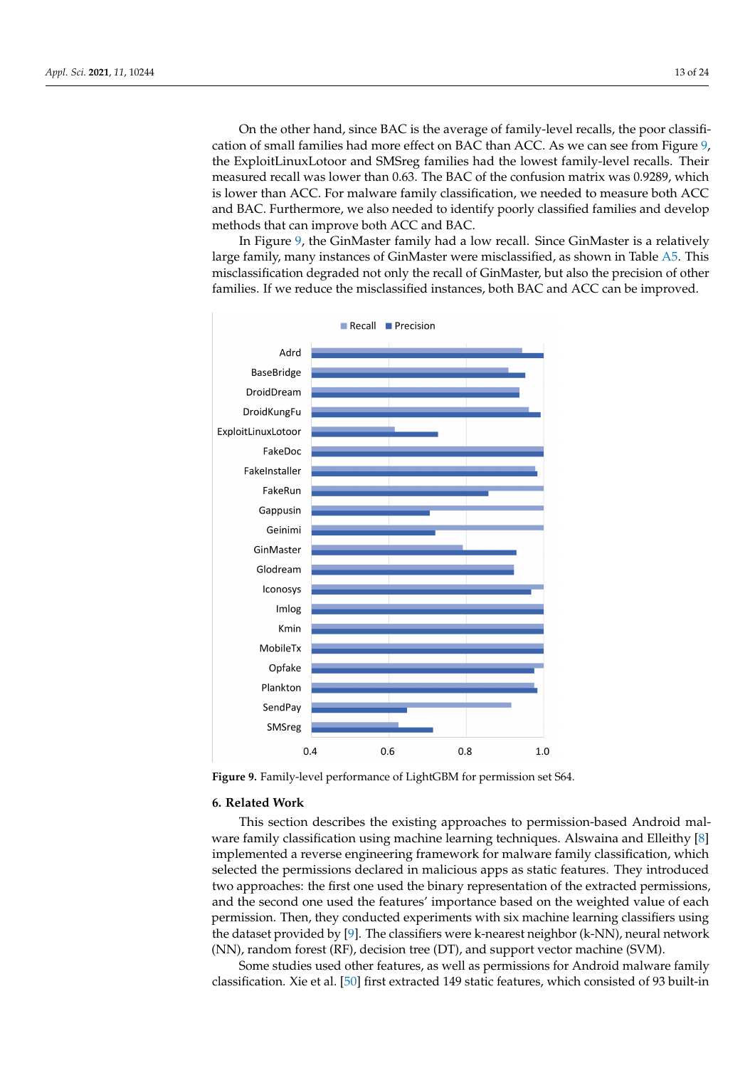On the other hand, since BAC is the average of family-level recalls, the poor classification of small families had more effect on BAC than ACC. As we can see from Figure [9,](#page-12-1) the ExploitLinuxLotoor and SMSreg families had the lowest family-level recalls. Their measured recall was lower than 0.63. The BAC of the confusion matrix was 0.9289, which is lower than ACC. For malware family classification, we needed to measure both ACC and BAC. Furthermore, we also needed to identify poorly classified families and develop methods that can improve both ACC and BAC.

In Figure [9,](#page-12-1) the GinMaster family had a low recall. Since GinMaster is a relatively large family, many instances of GinMaster were misclassified, as shown in Table [A5.](#page-20-0) This misclassification degraded not only the recall of GinMaster, but also the precision of other families. If we reduce the misclassified instances, both BAC and ACC can be improved.

<span id="page-12-1"></span>

**Figure 9.** Family-level performance of LightGBM for permission set S64.

### <span id="page-12-0"></span>**6. Related Work**

This section describes the existing approaches to permission-based Android malware family classification using machine learning techniques. Alswaina and Elleithy [\[8\]](#page-21-21) implemented a reverse engineering framework for malware family classification, which selected the permissions declared in malicious apps as static features. They introduced two approaches: the first one used the binary representation of the extracted permissions, and the second one used the features' importance based on the weighted value of each permission. Then, they conducted experiments with six machine learning classifiers using the dataset provided by  $[9]$ . The classifiers were k-nearest neighbor (k-NN), neural network (NN), random forest (RF), decision tree (DT), and support vector machine (SVM).

Some studies used other features, as well as permissions for Android malware family classification. Xie et al. [\[50\]](#page-22-22) first extracted 149 static features, which consisted of 93 built-in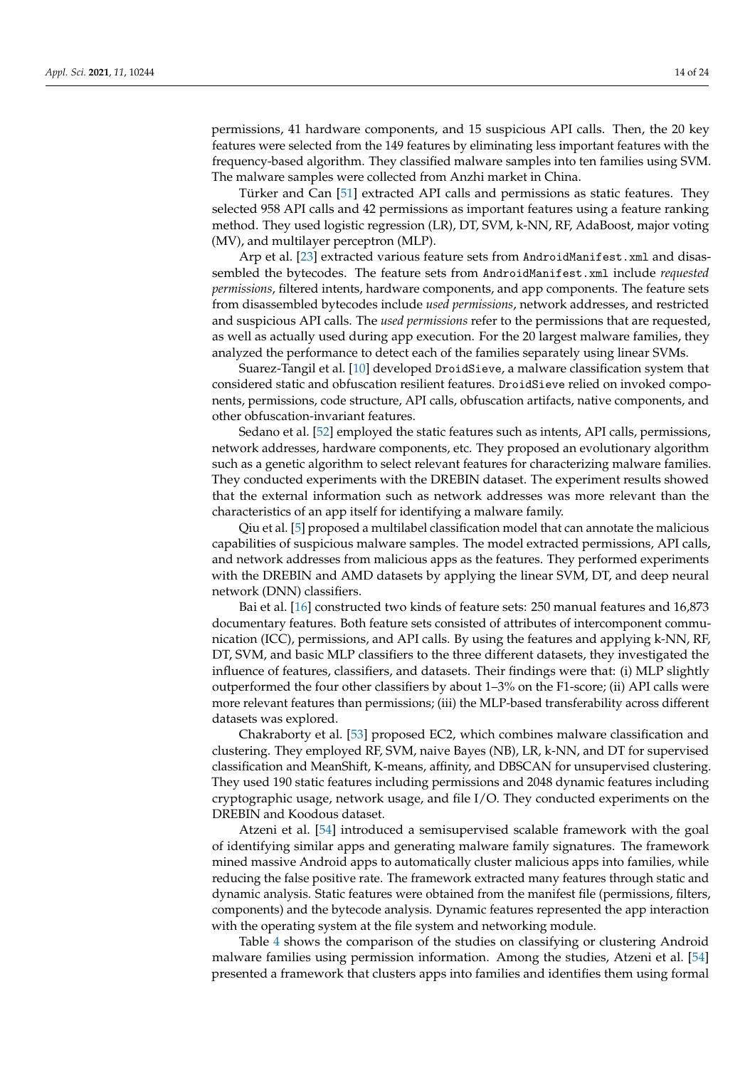permissions, 41 hardware components, and 15 suspicious API calls. Then, the 20 key features were selected from the 149 features by eliminating less important features with the frequency-based algorithm. They classified malware samples into ten families using SVM. The malware samples were collected from Anzhi market in China.

Türker and Can [\[51\]](#page-22-23) extracted API calls and permissions as static features. They selected 958 API calls and 42 permissions as important features using a feature ranking method. They used logistic regression (LR), DT, SVM, k-NN, RF, AdaBoost, major voting (MV), and multilayer perceptron (MLP).

Arp et al. [\[23\]](#page-21-14) extracted various feature sets from AndroidManifest.xml and disassembled the bytecodes. The feature sets from AndroidManifest.xml include *requested permissions*, filtered intents, hardware components, and app components. The feature sets from disassembled bytecodes include *used permissions*, network addresses, and restricted and suspicious API calls. The *used permissions* refer to the permissions that are requested, as well as actually used during app execution. For the 20 largest malware families, they analyzed the performance to detect each of the families separately using linear SVMs.

Suarez-Tangil et al. [\[10\]](#page-21-5) developed DroidSieve, a malware classification system that considered static and obfuscation resilient features. DroidSieve relied on invoked components, permissions, code structure, API calls, obfuscation artifacts, native components, and other obfuscation-invariant features.

Sedano et al. [\[52\]](#page-22-24) employed the static features such as intents, API calls, permissions, network addresses, hardware components, etc. They proposed an evolutionary algorithm such as a genetic algorithm to select relevant features for characterizing malware families. They conducted experiments with the DREBIN dataset. The experiment results showed that the external information such as network addresses was more relevant than the characteristics of an app itself for identifying a malware family.

Qiu et al. [\[5\]](#page-21-3) proposed a multilabel classification model that can annotate the malicious capabilities of suspicious malware samples. The model extracted permissions, API calls, and network addresses from malicious apps as the features. They performed experiments with the DREBIN and AMD datasets by applying the linear SVM, DT, and deep neural network (DNN) classifiers.

Bai et al. [\[16\]](#page-21-10) constructed two kinds of feature sets: 250 manual features and 16,873 documentary features. Both feature sets consisted of attributes of intercomponent communication (ICC), permissions, and API calls. By using the features and applying k-NN, RF, DT, SVM, and basic MLP classifiers to the three different datasets, they investigated the influence of features, classifiers, and datasets. Their findings were that: (i) MLP slightly outperformed the four other classifiers by about 1–3% on the F1-score; (ii) API calls were more relevant features than permissions; (iii) the MLP-based transferability across different datasets was explored.

Chakraborty et al. [\[53\]](#page-22-25) proposed EC2, which combines malware classification and clustering. They employed RF, SVM, naive Bayes (NB), LR, k-NN, and DT for supervised classification and MeanShift, K-means, affinity, and DBSCAN for unsupervised clustering. They used 190 static features including permissions and 2048 dynamic features including cryptographic usage, network usage, and file I/O. They conducted experiments on the DREBIN and Koodous dataset.

Atzeni et al. [\[54\]](#page-23-0) introduced a semisupervised scalable framework with the goal of identifying similar apps and generating malware family signatures. The framework mined massive Android apps to automatically cluster malicious apps into families, while reducing the false positive rate. The framework extracted many features through static and dynamic analysis. Static features were obtained from the manifest file (permissions, filters, components) and the bytecode analysis. Dynamic features represented the app interaction with the operating system at the file system and networking module.

Table [4](#page-14-0) shows the comparison of the studies on classifying or clustering Android malware families using permission information. Among the studies, Atzeni et al. [\[54\]](#page-23-0) presented a framework that clusters apps into families and identifies them using formal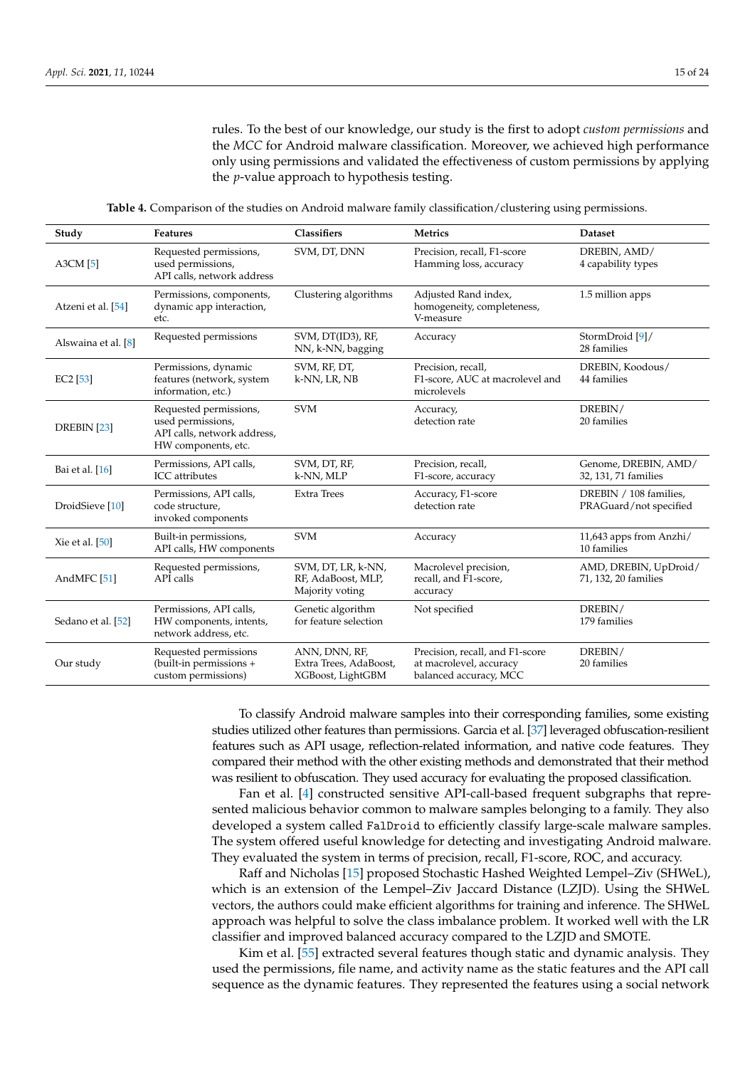rules. To the best of our knowledge, our study is the first to adopt *custom permissions* and the *MCC* for Android malware classification. Moreover, we achieved high performance only using permissions and validated the effectiveness of custom permissions by applying the *p*-value approach to hypothesis testing.

**Table 4.** Comparison of the studies on Android malware family classification/clustering using permissions.

<span id="page-14-0"></span>

| Study                      | Features                                                                                          | Classifiers                                                  | <b>Metrics</b>                                                                       | <b>Dataset</b>                                   |
|----------------------------|---------------------------------------------------------------------------------------------------|--------------------------------------------------------------|--------------------------------------------------------------------------------------|--------------------------------------------------|
| $A3CM$ [5]                 | Requested permissions,<br>used permissions,<br>API calls, network address                         | SVM, DT, DNN                                                 | Precision, recall, F1-score<br>Hamming loss, accuracy                                | DREBIN, AMD/<br>4 capability types               |
| Atzeni et al. [54]         | Permissions, components,<br>dynamic app interaction,<br>etc.                                      | Clustering algorithms                                        | Adjusted Rand index,<br>homogeneity, completeness,<br>V-measure                      | 1.5 million apps                                 |
| Alswaina et al. [8]        | Requested permissions                                                                             | SVM, DT(ID3), RF,<br>NN, k-NN, bagging                       | Accuracy                                                                             | StormDroid [9]/<br>28 families                   |
| EC2 [53]                   | Permissions, dynamic<br>features (network, system<br>information, etc.)                           | SVM, RF, DT,<br>k-NN, LR, NB                                 | Precision, recall,<br>F1-score, AUC at macrolevel and<br>microlevels                 | DREBIN, Koodous/<br>44 families                  |
| DREBIN [23]                | Requested permissions,<br>used permissions,<br>API calls, network address,<br>HW components, etc. | <b>SVM</b>                                                   | Accuracy,<br>detection rate                                                          | DREBIN/<br>20 families                           |
| Bai et al. [16]            | Permissions, API calls,<br><b>ICC</b> attributes                                                  | SVM, DT, RF,<br>k-NN, MLP                                    | Precision, recall,<br>F1-score, accuracy                                             | Genome, DREBIN, AMD/<br>32, 131, 71 families     |
| DroidSieve <sup>[10]</sup> | Permissions, API calls,<br>code structure.<br>invoked components                                  | <b>Extra Trees</b>                                           | Accuracy, F1-score<br>detection rate                                                 | DREBIN / 108 families,<br>PRAGuard/not specified |
| Xie et al. [50]            | Built-in permissions,<br>API calls, HW components                                                 | <b>SVM</b>                                                   | Accuracy                                                                             | 11,643 apps from Anzhi/<br>10 families           |
| AndMFC <sup>[51]</sup>     | Requested permissions,<br>API calls                                                               | SVM, DT, LR, k-NN,<br>RF, AdaBoost, MLP,<br>Majority voting  | Macrolevel precision,<br>recall, and F1-score,<br>accuracy                           | AMD, DREBIN, UpDroid/<br>71, 132, 20 families    |
| Sedano et al. [52]         | Permissions, API calls,<br>HW components, intents,<br>network address, etc.                       | Genetic algorithm<br>for feature selection                   | Not specified                                                                        | DREBIN/<br>179 families                          |
| Our study                  | Requested permissions<br>(built-in permissions +<br>custom permissions)                           | ANN, DNN, RF,<br>Extra Trees, AdaBoost,<br>XGBoost, LightGBM | Precision, recall, and F1-score<br>at macrolevel, accuracy<br>balanced accuracy, MCC | DREBIN/<br>20 families                           |

To classify Android malware samples into their corresponding families, some existing studies utilized other features than permissions. Garcia et al. [\[37\]](#page-22-10) leveraged obfuscation-resilient features such as API usage, reflection-related information, and native code features. They compared their method with the other existing methods and demonstrated that their method was resilient to obfuscation. They used accuracy for evaluating the proposed classification.

Fan et al. [\[4\]](#page-21-22) constructed sensitive API-call-based frequent subgraphs that represented malicious behavior common to malware samples belonging to a family. They also developed a system called FalDroid to efficiently classify large-scale malware samples. The system offered useful knowledge for detecting and investigating Android malware. They evaluated the system in terms of precision, recall, F1-score, ROC, and accuracy.

Raff and Nicholas [\[15\]](#page-21-20) proposed Stochastic Hashed Weighted Lempel–Ziv (SHWeL), which is an extension of the Lempel–Ziv Jaccard Distance (LZJD). Using the SHWeL vectors, the authors could make efficient algorithms for training and inference. The SHWeL approach was helpful to solve the class imbalance problem. It worked well with the LR classifier and improved balanced accuracy compared to the LZJD and SMOTE.

Kim et al. [\[55\]](#page-23-1) extracted several features though static and dynamic analysis. They used the permissions, file name, and activity name as the static features and the API call sequence as the dynamic features. They represented the features using a social network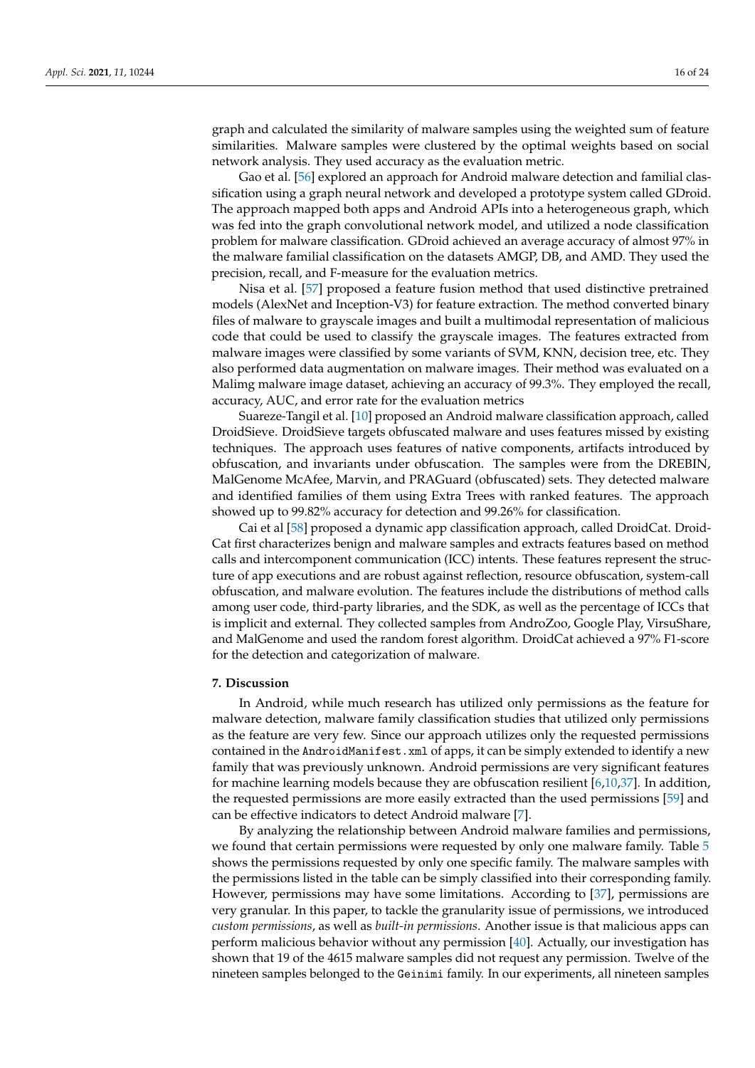graph and calculated the similarity of malware samples using the weighted sum of feature similarities. Malware samples were clustered by the optimal weights based on social network analysis. They used accuracy as the evaluation metric.

Gao et al. [\[56\]](#page-23-2) explored an approach for Android malware detection and familial classification using a graph neural network and developed a prototype system called GDroid. The approach mapped both apps and Android APIs into a heterogeneous graph, which was fed into the graph convolutional network model, and utilized a node classification problem for malware classification. GDroid achieved an average accuracy of almost 97% in the malware familial classification on the datasets AMGP, DB, and AMD. They used the precision, recall, and F-measure for the evaluation metrics.

Nisa et al. [\[57\]](#page-23-3) proposed a feature fusion method that used distinctive pretrained models (AlexNet and Inception-V3) for feature extraction. The method converted binary files of malware to grayscale images and built a multimodal representation of malicious code that could be used to classify the grayscale images. The features extracted from malware images were classified by some variants of SVM, KNN, decision tree, etc. They also performed data augmentation on malware images. Their method was evaluated on a Malimg malware image dataset, achieving an accuracy of 99.3%. They employed the recall, accuracy, AUC, and error rate for the evaluation metrics

Suareze-Tangil et al. [\[10\]](#page-21-5) proposed an Android malware classification approach, called DroidSieve. DroidSieve targets obfuscated malware and uses features missed by existing techniques. The approach uses features of native components, artifacts introduced by obfuscation, and invariants under obfuscation. The samples were from the DREBIN, MalGenome McAfee, Marvin, and PRAGuard (obfuscated) sets. They detected malware and identified families of them using Extra Trees with ranked features. The approach showed up to 99.82% accuracy for detection and 99.26% for classification.

Cai et al [\[58\]](#page-23-4) proposed a dynamic app classification approach, called DroidCat. Droid-Cat first characterizes benign and malware samples and extracts features based on method calls and intercomponent communication (ICC) intents. These features represent the structure of app executions and are robust against reflection, resource obfuscation, system-call obfuscation, and malware evolution. The features include the distributions of method calls among user code, third-party libraries, and the SDK, as well as the percentage of ICCs that is implicit and external. They collected samples from AndroZoo, Google Play, VirsuShare, and MalGenome and used the random forest algorithm. DroidCat achieved a 97% F1-score for the detection and categorization of malware.

### <span id="page-15-0"></span>**7. Discussion**

In Android, while much research has utilized only permissions as the feature for malware detection, malware family classification studies that utilized only permissions as the feature are very few. Since our approach utilizes only the requested permissions contained in the AndroidManifest.xml of apps, it can be simply extended to identify a new family that was previously unknown. Android permissions are very significant features for machine learning models because they are obfuscation resilient [\[6](#page-21-4)[,10](#page-21-5)[,37\]](#page-22-10). In addition, the requested permissions are more easily extracted than the used permissions [\[59\]](#page-23-5) and can be effective indicators to detect Android malware [\[7\]](#page-21-23).

By analyzing the relationship between Android malware families and permissions, we found that certain permissions were requested by only one malware family. Table [5](#page-16-0) shows the permissions requested by only one specific family. The malware samples with the permissions listed in the table can be simply classified into their corresponding family. However, permissions may have some limitations. According to [\[37\]](#page-22-10), permissions are very granular. In this paper, to tackle the granularity issue of permissions, we introduced *custom permissions*, as well as *built-in permissions*. Another issue is that malicious apps can perform malicious behavior without any permission [\[40\]](#page-22-13). Actually, our investigation has shown that 19 of the 4615 malware samples did not request any permission. Twelve of the nineteen samples belonged to the Geinimi family. In our experiments, all nineteen samples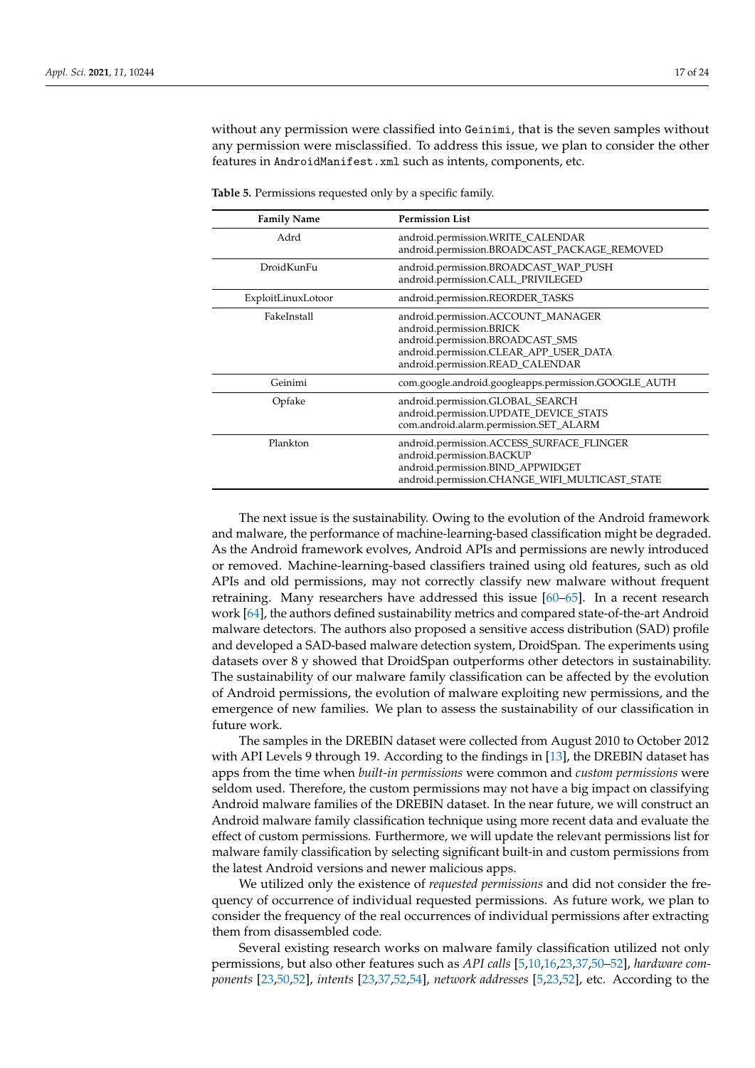without any permission were classified into Geinimi, that is the seven samples without any permission were misclassified. To address this issue, we plan to consider the other features in AndroidManifest.xml such as intents, components, etc.

| <b>Family Name</b> | <b>Permission List</b>                                                                                                                                                           |
|--------------------|----------------------------------------------------------------------------------------------------------------------------------------------------------------------------------|
| Adrd               | android.permission.WRITE_CALENDAR<br>android.permission.BROADCAST_PACKAGE_REMOVED                                                                                                |
| DroidKunFu         | android.permission.BROADCAST_WAP_PUSH<br>android.permission.CALL_PRIVILEGED                                                                                                      |
| ExploitLinuxLotoor | android.permission.REORDER_TASKS                                                                                                                                                 |
| FakeInstall        | android.permission.ACCOUNT_MANAGER<br>android.permission.BRICK<br>android.permission.BROADCAST_SMS<br>android.permission.CLEAR_APP_USER_DATA<br>android.permission.READ_CALENDAR |
| Geinimi            | com.google.android.googleapps.permission.GOOGLE_AUTH                                                                                                                             |
| Opfake             | android.permission.GLOBAL_SEARCH<br>android.permission.UPDATE_DEVICE_STATS<br>com.android.alarm.permission.SET_ALARM                                                             |
| Plankton           | android.permission.ACCESS_SURFACE_FLINGER<br>android.permission.BACKUP<br>android.permission.BIND_APPWIDGET<br>android.permission.CHANGE_WIFI_MULTICAST_STATE                    |

<span id="page-16-0"></span>**Table 5.** Permissions requested only by a specific family.

The next issue is the sustainability. Owing to the evolution of the Android framework and malware, the performance of machine-learning-based classification might be degraded. As the Android framework evolves, Android APIs and permissions are newly introduced or removed. Machine-learning-based classifiers trained using old features, such as old APIs and old permissions, may not correctly classify new malware without frequent retraining. Many researchers have addressed this issue [\[60–](#page-23-6)[65\]](#page-23-7). In a recent research work [\[64\]](#page-23-8), the authors defined sustainability metrics and compared state-of-the-art Android malware detectors. The authors also proposed a sensitive access distribution (SAD) profile and developed a SAD-based malware detection system, DroidSpan. The experiments using datasets over 8 y showed that DroidSpan outperforms other detectors in sustainability. The sustainability of our malware family classification can be affected by the evolution of Android permissions, the evolution of malware exploiting new permissions, and the emergence of new families. We plan to assess the sustainability of our classification in future work.

The samples in the DREBIN dataset were collected from August 2010 to October 2012 with API Levels 9 through 19. According to the findings in [\[13\]](#page-21-8), the DREBIN dataset has apps from the time when *built-in permissions* were common and *custom permissions* were seldom used. Therefore, the custom permissions may not have a big impact on classifying Android malware families of the DREBIN dataset. In the near future, we will construct an Android malware family classification technique using more recent data and evaluate the effect of custom permissions. Furthermore, we will update the relevant permissions list for malware family classification by selecting significant built-in and custom permissions from the latest Android versions and newer malicious apps.

We utilized only the existence of *requested permissions* and did not consider the frequency of occurrence of individual requested permissions. As future work, we plan to consider the frequency of the real occurrences of individual permissions after extracting them from disassembled code.

Several existing research works on malware family classification utilized not only permissions, but also other features such as *API calls* [\[5](#page-21-3)[,10](#page-21-5)[,16](#page-21-10)[,23](#page-21-14)[,37,](#page-22-10)[50](#page-22-22)[–52\]](#page-22-24), *hardware components* [\[23](#page-21-14)[,50](#page-22-22)[,52\]](#page-22-24), *intents* [\[23](#page-21-14)[,37,](#page-22-10)[52](#page-22-24)[,54\]](#page-23-0), *network addresses* [\[5](#page-21-3)[,23](#page-21-14)[,52\]](#page-22-24), etc. According to the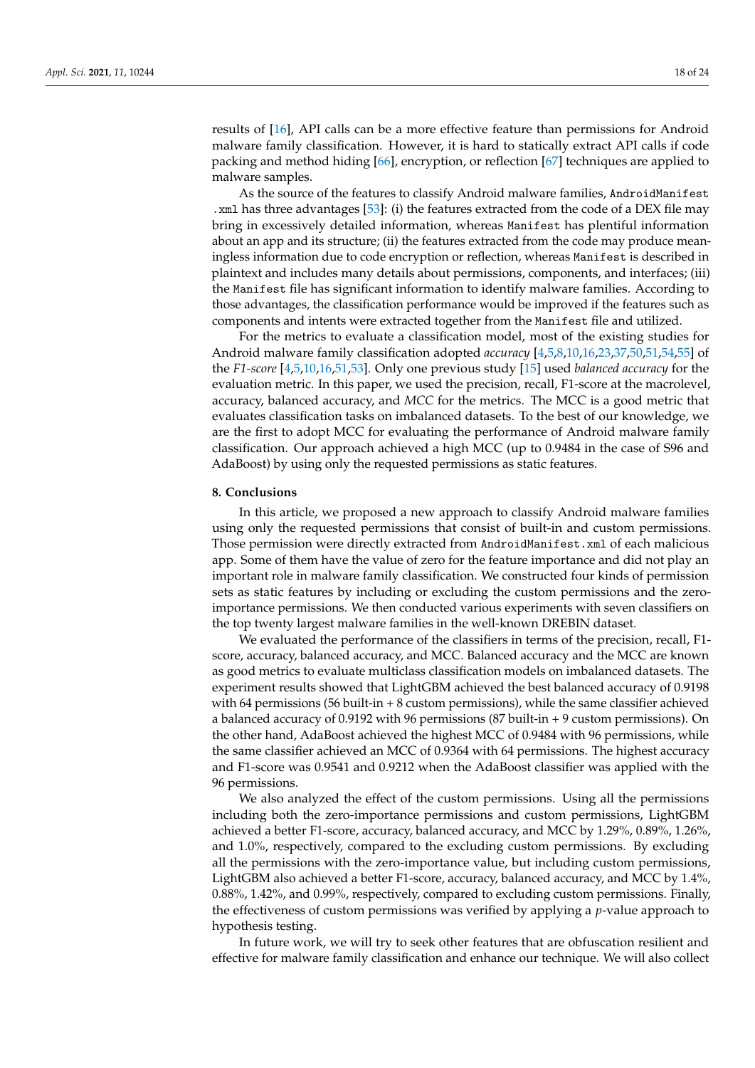results of [\[16\]](#page-21-10), API calls can be a more effective feature than permissions for Android malware family classification. However, it is hard to statically extract API calls if code packing and method hiding [\[66\]](#page-23-9), encryption, or reflection [\[67\]](#page-23-10) techniques are applied to malware samples.

As the source of the features to classify Android malware families, AndroidManifest .xml has three advantages [\[53\]](#page-22-25): (i) the features extracted from the code of a DEX file may bring in excessively detailed information, whereas Manifest has plentiful information about an app and its structure; (ii) the features extracted from the code may produce meaningless information due to code encryption or reflection, whereas Manifest is described in plaintext and includes many details about permissions, components, and interfaces; (iii) the Manifest file has significant information to identify malware families. According to those advantages, the classification performance would be improved if the features such as components and intents were extracted together from the Manifest file and utilized.

For the metrics to evaluate a classification model, most of the existing studies for Android malware family classification adopted *accuracy* [\[4](#page-21-22)[,5](#page-21-3)[,8](#page-21-21)[,10](#page-21-5)[,16](#page-21-10)[,23](#page-21-14)[,37](#page-22-10)[,50](#page-22-22)[,51](#page-22-23)[,54](#page-23-0)[,55\]](#page-23-1) of the *F1-score* [\[4,](#page-21-22)[5](#page-21-3)[,10](#page-21-5)[,16](#page-21-10)[,51](#page-22-23)[,53\]](#page-22-25). Only one previous study [\[15\]](#page-21-20) used *balanced accuracy* for the evaluation metric. In this paper, we used the precision, recall, F1-score at the macrolevel, accuracy, balanced accuracy, and *MCC* for the metrics. The MCC is a good metric that evaluates classification tasks on imbalanced datasets. To the best of our knowledge, we are the first to adopt MCC for evaluating the performance of Android malware family classification. Our approach achieved a high MCC (up to 0.9484 in the case of S96 and AdaBoost) by using only the requested permissions as static features.

### <span id="page-17-0"></span>**8. Conclusions**

In this article, we proposed a new approach to classify Android malware families using only the requested permissions that consist of built-in and custom permissions. Those permission were directly extracted from AndroidManifest.xml of each malicious app. Some of them have the value of zero for the feature importance and did not play an important role in malware family classification. We constructed four kinds of permission sets as static features by including or excluding the custom permissions and the zeroimportance permissions. We then conducted various experiments with seven classifiers on the top twenty largest malware families in the well-known DREBIN dataset.

We evaluated the performance of the classifiers in terms of the precision, recall, F1 score, accuracy, balanced accuracy, and MCC. Balanced accuracy and the MCC are known as good metrics to evaluate multiclass classification models on imbalanced datasets. The experiment results showed that LightGBM achieved the best balanced accuracy of 0.9198 with 64 permissions (56 built-in  $+8$  custom permissions), while the same classifier achieved a balanced accuracy of 0.9192 with 96 permissions (87 built-in + 9 custom permissions). On the other hand, AdaBoost achieved the highest MCC of 0.9484 with 96 permissions, while the same classifier achieved an MCC of 0.9364 with 64 permissions. The highest accuracy and F1-score was 0.9541 and 0.9212 when the AdaBoost classifier was applied with the 96 permissions.

We also analyzed the effect of the custom permissions. Using all the permissions including both the zero-importance permissions and custom permissions, LightGBM achieved a better F1-score, accuracy, balanced accuracy, and MCC by 1.29%, 0.89%, 1.26%, and 1.0%, respectively, compared to the excluding custom permissions. By excluding all the permissions with the zero-importance value, but including custom permissions, LightGBM also achieved a better F1-score, accuracy, balanced accuracy, and MCC by 1.4%, 0.88%, 1.42%, and 0.99%, respectively, compared to excluding custom permissions. Finally, the effectiveness of custom permissions was verified by applying a *p*-value approach to hypothesis testing.

In future work, we will try to seek other features that are obfuscation resilient and effective for malware family classification and enhance our technique. We will also collect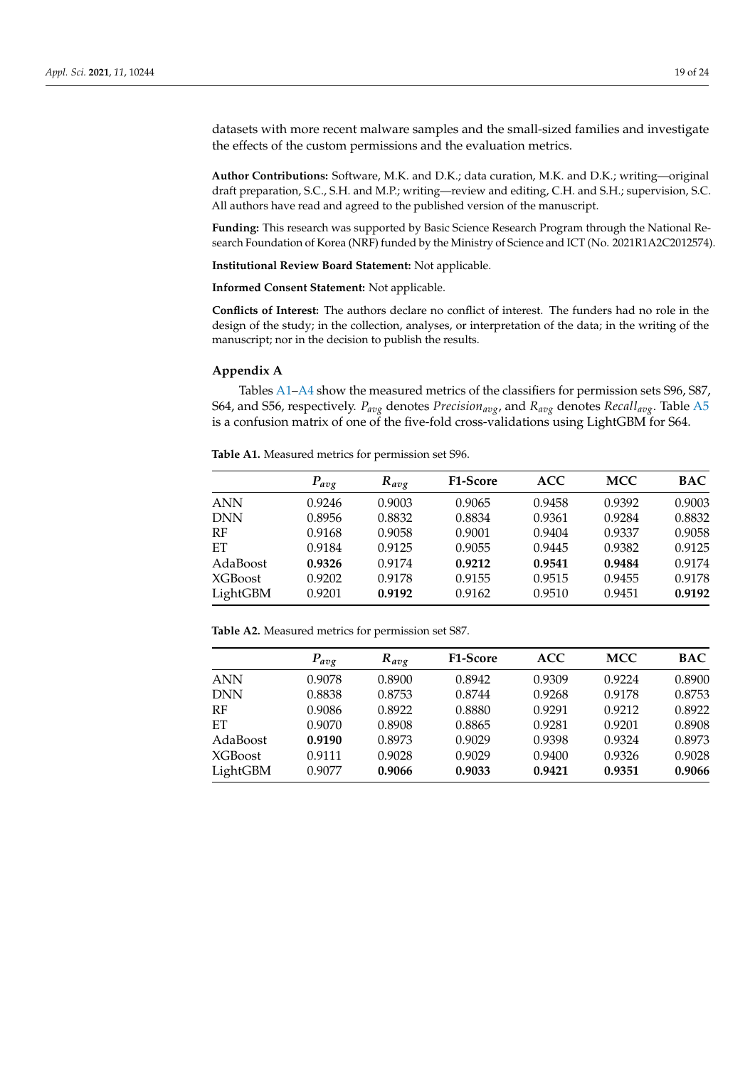datasets with more recent malware samples and the small-sized families and investigate the effects of the custom permissions and the evaluation metrics.

**Author Contributions:** Software, M.K. and D.K.; data curation, M.K. and D.K.; writing—original draft preparation, S.C., S.H. and M.P.; writing—review and editing, C.H. and S.H.; supervision, S.C. All authors have read and agreed to the published version of the manuscript.

**Funding:** This research was supported by Basic Science Research Program through the National Research Foundation of Korea (NRF) funded by the Ministry of Science and ICT (No. 2021R1A2C2012574).

**Institutional Review Board Statement:** Not applicable.

**Informed Consent Statement:** Not applicable.

**Conflicts of Interest:** The authors declare no conflict of interest. The funders had no role in the design of the study; in the collection, analyses, or interpretation of the data; in the writing of the manuscript; nor in the decision to publish the results.

# <span id="page-18-0"></span>**Appendix A**

Tables [A1](#page-18-1)[–A4](#page-19-0) show the measured metrics of the classifiers for permission sets S96, S87, S64, and S56, respectively. *Pavg* denotes *Precisionavg*, and *Ravg* denotes *Recallavg*. Table [A5](#page-20-0) is a confusion matrix of one of the five-fold cross-validations using LightGBM for S64.

<span id="page-18-1"></span>**Table A1.** Measured metrics for permission set S96.

|            | $P_{avg}$ | $R_{avg}$ | <b>F1-Score</b> | <b>ACC</b> | <b>MCC</b> | <b>BAC</b> |
|------------|-----------|-----------|-----------------|------------|------------|------------|
| <b>ANN</b> | 0.9246    | 0.9003    | 0.9065          | 0.9458     | 0.9392     | 0.9003     |
| <b>DNN</b> | 0.8956    | 0.8832    | 0.8834          | 0.9361     | 0.9284     | 0.8832     |
| RF         | 0.9168    | 0.9058    | 0.9001          | 0.9404     | 0.9337     | 0.9058     |
| ET         | 0.9184    | 0.9125    | 0.9055          | 0.9445     | 0.9382     | 0.9125     |
| AdaBoost   | 0.9326    | 0.9174    | 0.9212          | 0.9541     | 0.9484     | 0.9174     |
| XGBoost    | 0.9202    | 0.9178    | 0.9155          | 0.9515     | 0.9455     | 0.9178     |
| LightGBM   | 0.9201    | 0.9192    | 0.9162          | 0.9510     | 0.9451     | 0.9192     |

**Table A2.** Measured metrics for permission set S87.

|                | $P_{avg}$ | $R_{avg}$ | <b>F1-Score</b> | <b>ACC</b> | <b>MCC</b> | BAC    |
|----------------|-----------|-----------|-----------------|------------|------------|--------|
| <b>ANN</b>     | 0.9078    | 0.8900    | 0.8942          | 0.9309     | 0.9224     | 0.8900 |
| <b>DNN</b>     | 0.8838    | 0.8753    | 0.8744          | 0.9268     | 0.9178     | 0.8753 |
| RF             | 0.9086    | 0.8922    | 0.8880          | 0.9291     | 0.9212     | 0.8922 |
| ET             | 0.9070    | 0.8908    | 0.8865          | 0.9281     | 0.9201     | 0.8908 |
| AdaBoost       | 0.9190    | 0.8973    | 0.9029          | 0.9398     | 0.9324     | 0.8973 |
| <b>XGBoost</b> | 0.9111    | 0.9028    | 0.9029          | 0.9400     | 0.9326     | 0.9028 |
| LightGBM       | 0.9077    | 0.9066    | 0.9033          | 0.9421     | 0.9351     | 0.9066 |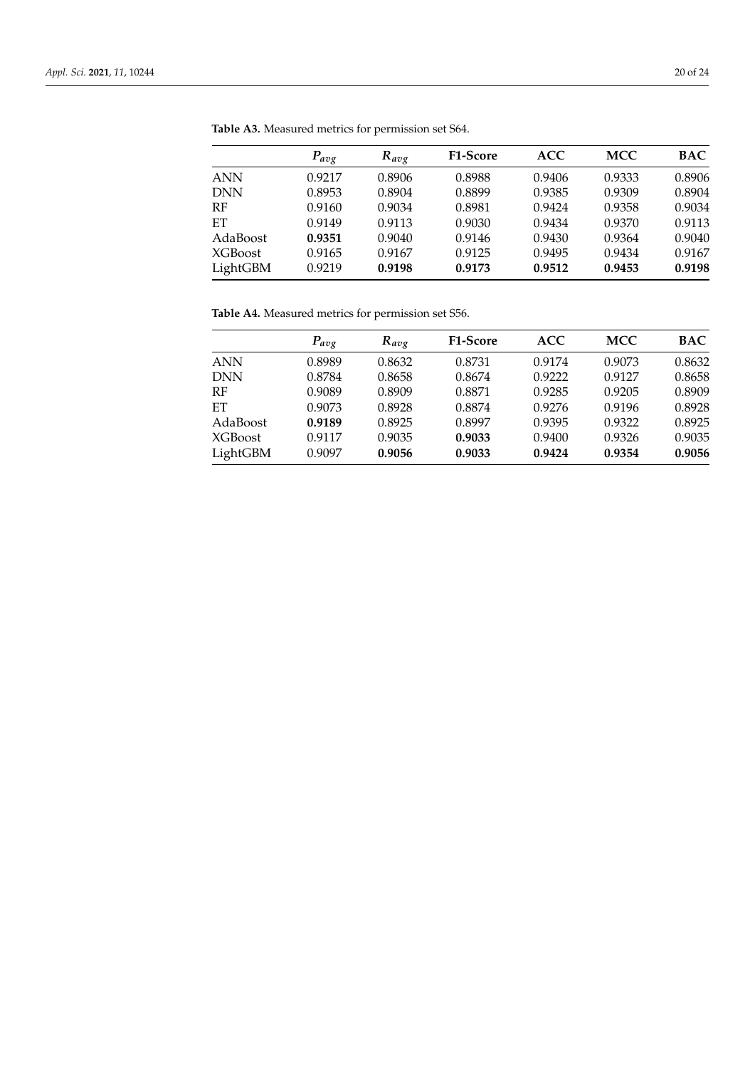|                | $P_{avg}$ | $R_{avg}$ | <b>F1-Score</b> | <b>ACC</b> | <b>MCC</b> | <b>BAC</b> |
|----------------|-----------|-----------|-----------------|------------|------------|------------|
| <b>ANN</b>     | 0.9217    | 0.8906    | 0.8988          | 0.9406     | 0.9333     | 0.8906     |
| <b>DNN</b>     | 0.8953    | 0.8904    | 0.8899          | 0.9385     | 0.9309     | 0.8904     |
| RF             | 0.9160    | 0.9034    | 0.8981          | 0.9424     | 0.9358     | 0.9034     |
| ET             | 0.9149    | 0.9113    | 0.9030          | 0.9434     | 0.9370     | 0.9113     |
| AdaBoost       | 0.9351    | 0.9040    | 0.9146          | 0.9430     | 0.9364     | 0.9040     |
| <b>XGBoost</b> | 0.9165    | 0.9167    | 0.9125          | 0.9495     | 0.9434     | 0.9167     |
| LightGBM       | 0.9219    | 0.9198    | 0.9173          | 0.9512     | 0.9453     | 0.9198     |

**Table A3.** Measured metrics for permission set S64.

<span id="page-19-0"></span>**Table A4.** Measured metrics for permission set S56.

|                | $P_{avg}$ | $R_{avg}$ | <b>F1-Score</b> | <b>ACC</b> | <b>MCC</b> | <b>BAC</b> |
|----------------|-----------|-----------|-----------------|------------|------------|------------|
| <b>ANN</b>     | 0.8989    | 0.8632    | 0.8731          | 0.9174     | 0.9073     | 0.8632     |
| <b>DNN</b>     | 0.8784    | 0.8658    | 0.8674          | 0.9222     | 0.9127     | 0.8658     |
| RF             | 0.9089    | 0.8909    | 0.8871          | 0.9285     | 0.9205     | 0.8909     |
| ET             | 0.9073    | 0.8928    | 0.8874          | 0.9276     | 0.9196     | 0.8928     |
| AdaBoost       | 0.9189    | 0.8925    | 0.8997          | 0.9395     | 0.9322     | 0.8925     |
| <b>XGBoost</b> | 0.9117    | 0.9035    | 0.9033          | 0.9400     | 0.9326     | 0.9035     |
| LightGBM       | 0.9097    | 0.9056    | 0.9033          | 0.9424     | 0.9354     | 0.9056     |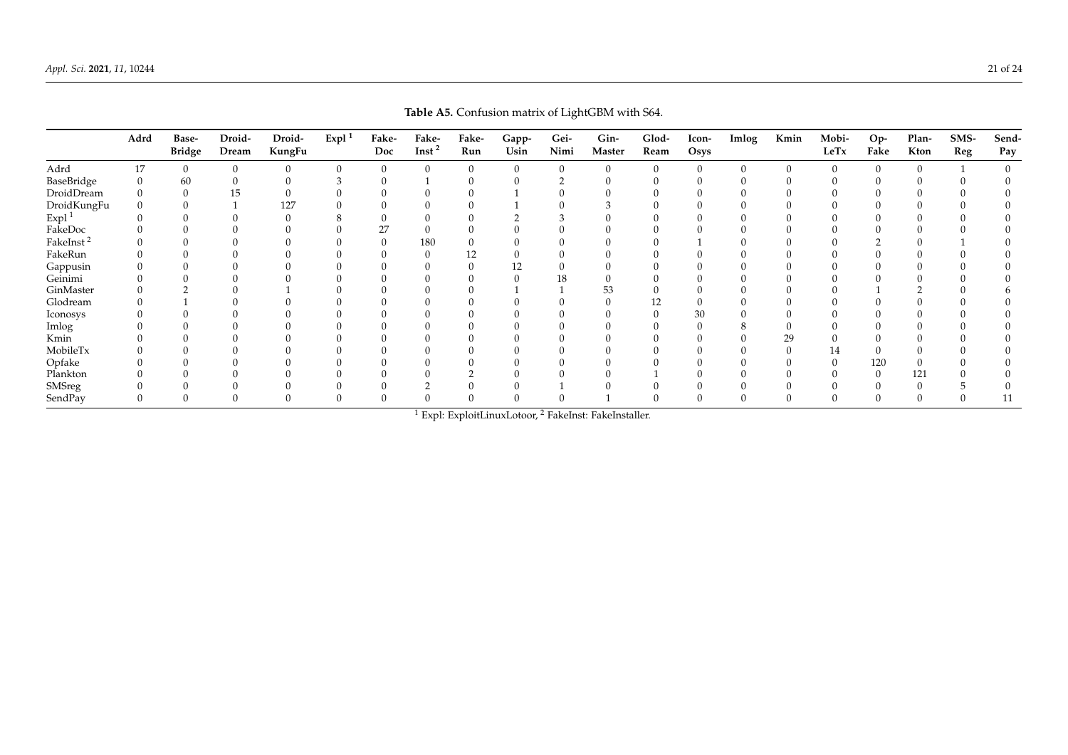<span id="page-20-0"></span>

|               |      |                        |                 |                  |          |              |                    |              |               |              | <b><i>ROK TO.</i></b> COMMODIT MATER OF EIGHNODIN WHIT CO. |               |               |       |      |               |             |               |             |              |
|---------------|------|------------------------|-----------------|------------------|----------|--------------|--------------------|--------------|---------------|--------------|------------------------------------------------------------|---------------|---------------|-------|------|---------------|-------------|---------------|-------------|--------------|
|               | Adrd | Base-<br><b>Bridge</b> | Droid-<br>Dream | Droid-<br>KungFu | Expl $1$ | Fake-<br>Doc | Fake-<br>Inst $^2$ | Fake-<br>Run | Gapp-<br>Usin | Gei-<br>Nimi | Gin-<br>Master                                             | Glod-<br>Ream | Icon-<br>Osys | Imlog | Kmin | Mobi-<br>LeTx | Op-<br>Fake | Plan-<br>Kton | SMS-<br>Reg | Send-<br>Pay |
| Adrd          | 17   |                        | $\Omega$        | $\theta$         |          |              |                    |              |               |              |                                                            |               | $\Omega$      |       |      |               |             |               |             |              |
| BaseBridge    |      | 60                     |                 |                  |          |              |                    |              |               |              |                                                            |               |               |       |      |               |             |               |             |              |
| DroidDream    |      |                        |                 |                  |          |              |                    |              |               |              |                                                            |               |               |       |      |               |             |               |             |              |
| DroidKungFu   |      |                        |                 | 127              |          |              |                    |              |               |              |                                                            |               |               |       |      |               |             |               |             |              |
| Expl $^1$     |      |                        |                 |                  |          |              |                    |              |               |              |                                                            |               |               |       |      |               |             |               |             |              |
| FakeDoc       |      |                        |                 |                  |          |              |                    |              |               |              |                                                            |               |               |       |      |               |             |               |             |              |
| FakeInst $^2$ |      |                        |                 |                  |          |              | 180                |              |               |              |                                                            |               |               |       |      |               |             |               |             |              |
| FakeRun       |      |                        |                 |                  |          |              |                    |              |               |              |                                                            |               |               |       |      |               |             |               |             |              |
| Gappusin      |      |                        |                 |                  |          |              |                    |              |               |              |                                                            |               |               |       |      |               |             |               |             |              |
| Geinimi       |      |                        |                 |                  |          |              |                    |              |               |              |                                                            |               |               |       |      |               |             |               |             |              |
| GinMaster     |      |                        |                 |                  |          |              |                    |              |               |              | າວ                                                         |               |               |       |      |               |             |               |             |              |
| Glodream      |      |                        |                 |                  |          |              |                    |              |               |              |                                                            |               |               |       |      |               |             |               |             |              |
| Iconosys      |      |                        |                 |                  |          |              |                    |              |               |              |                                                            |               |               |       |      |               |             |               |             |              |
| Imlog         |      |                        |                 |                  |          |              |                    |              |               |              |                                                            |               |               |       |      |               |             |               |             |              |
| Kmin          |      |                        |                 |                  |          |              |                    |              |               |              |                                                            |               |               |       | 29   |               |             |               |             |              |
| MobileTx      |      |                        |                 |                  |          |              |                    |              |               |              |                                                            |               |               |       |      | 14            |             |               |             |              |
| Opfake        |      |                        |                 |                  |          |              |                    |              |               |              |                                                            |               |               |       |      |               | 120         |               |             |              |
| Plankton      |      |                        |                 |                  |          |              |                    |              |               |              |                                                            |               |               |       |      |               |             | 121           |             |              |
| SMSreg        |      |                        |                 |                  |          |              |                    |              |               |              |                                                            |               |               |       |      |               |             |               |             |              |
| SendPay       |      |                        |                 |                  |          |              |                    |              |               |              |                                                            |               |               |       |      |               |             |               |             |              |

**Table A5.** Confusion matrix of LightGBM with S64.

<sup>1</sup> Expl: ExploitLinuxLotoor, <sup>2</sup> FakeInst: FakeInstaller.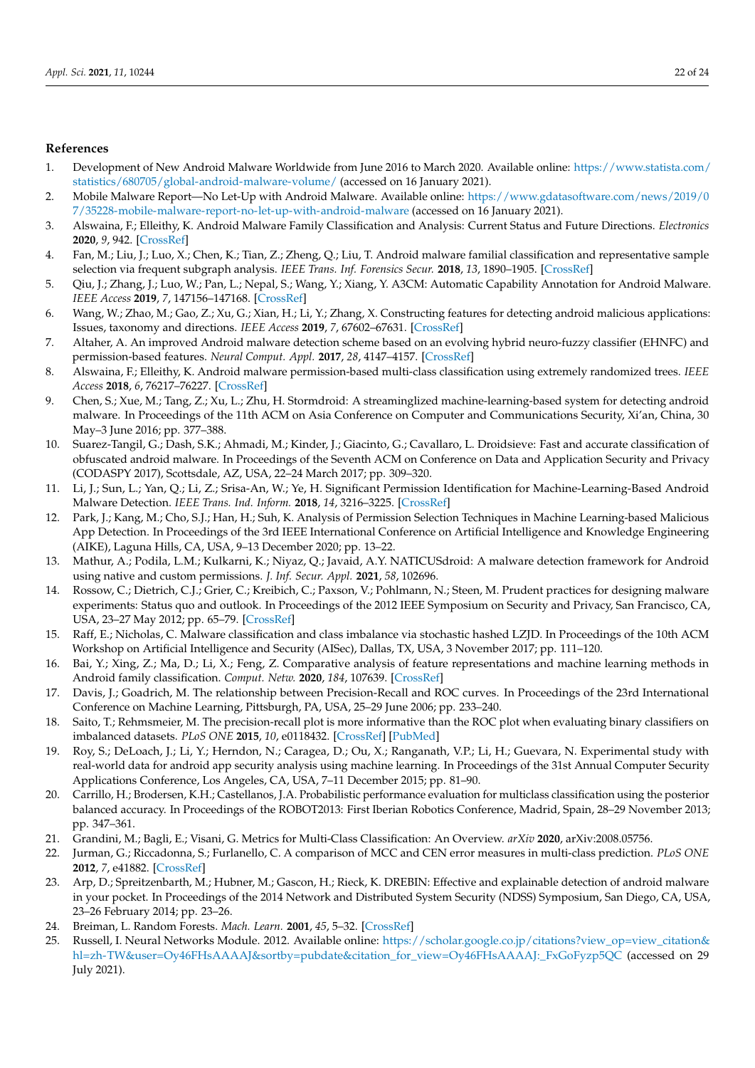### **References**

- <span id="page-21-0"></span>1. Development of New Android Malware Worldwide from June 2016 to March 2020. Available online: [https://www.statista.com/](https://www.statista.com/ statistics/680705/global-android-malware-volume/) [statistics/680705/global-android-malware-volume/](https://www.statista.com/ statistics/680705/global-android-malware-volume/) (accessed on 16 January 2021).
- <span id="page-21-1"></span>2. Mobile Malware Report—No Let-Up with Android Malware. Available online: [https://www.gdatasoftware.com/news/2019/0](https://www.gdatasoftware.com/news/2019/07/ 35228-mobile-malware-report-no-let-up-with-android-malware) [7/35228-mobile-malware-report-no-let-up-with-android-malware](https://www.gdatasoftware.com/news/2019/07/ 35228-mobile-malware-report-no-let-up-with-android-malware) (accessed on 16 January 2021).
- <span id="page-21-2"></span>3. Alswaina, F.; Elleithy, K. Android Malware Family Classification and Analysis: Current Status and Future Directions. *Electronics* **2020**, *9*, 942. [\[CrossRef\]](http://doi.org/10.3390/electronics9060942)
- <span id="page-21-22"></span>4. Fan, M.; Liu, J.; Luo, X.; Chen, K.; Tian, Z.; Zheng, Q.; Liu, T. Android malware familial classification and representative sample selection via frequent subgraph analysis. *IEEE Trans. Inf. Forensics Secur.* **2018**, *13*, 1890–1905. [\[CrossRef\]](http://dx.doi.org/10.1109/TIFS.2018.2806891)
- <span id="page-21-3"></span>5. Qiu, J.; Zhang, J.; Luo, W.; Pan, L.; Nepal, S.; Wang, Y.; Xiang, Y. A3CM: Automatic Capability Annotation for Android Malware. *IEEE Access* **2019**, *7*, 147156–147168. [\[CrossRef\]](http://dx.doi.org/10.1109/ACCESS.2019.2946392)
- <span id="page-21-4"></span>6. Wang, W.; Zhao, M.; Gao, Z.; Xu, G.; Xian, H.; Li, Y.; Zhang, X. Constructing features for detecting android malicious applications: Issues, taxonomy and directions. *IEEE Access* **2019**, *7*, 67602–67631. [\[CrossRef\]](http://dx.doi.org/10.1109/ACCESS.2019.2918139)
- <span id="page-21-23"></span>7. Altaher, A. An improved Android malware detection scheme based on an evolving hybrid neuro-fuzzy classifier (EHNFC) and permission-based features. *Neural Comput. Appl.* **2017**, *28*, 4147–4157. [\[CrossRef\]](http://dx.doi.org/10.1007/s00521-016-2708-7)
- <span id="page-21-21"></span>8. Alswaina, F.; Elleithy, K. Android malware permission-based multi-class classification using extremely randomized trees. *IEEE Access* **2018**, *6*, 76217–76227. [\[CrossRef\]](http://dx.doi.org/10.1109/ACCESS.2018.2883975)
- <span id="page-21-6"></span>9. Chen, S.; Xue, M.; Tang, Z.; Xu, L.; Zhu, H. Stormdroid: A streaminglized machine-learning-based system for detecting android malware. In Proceedings of the 11th ACM on Asia Conference on Computer and Communications Security, Xi'an, China, 30 May–3 June 2016; pp. 377–388.
- <span id="page-21-5"></span>10. Suarez-Tangil, G.; Dash, S.K.; Ahmadi, M.; Kinder, J.; Giacinto, G.; Cavallaro, L. Droidsieve: Fast and accurate classification of obfuscated android malware. In Proceedings of the Seventh ACM on Conference on Data and Application Security and Privacy (CODASPY 2017), Scottsdale, AZ, USA, 22–24 March 2017; pp. 309–320.
- <span id="page-21-7"></span>11. Li, J.; Sun, L.; Yan, Q.; Li, Z.; Srisa-An, W.; Ye, H. Significant Permission Identification for Machine-Learning-Based Android Malware Detection. *IEEE Trans. Ind. Inform.* **2018**, *14*, 3216–3225. [\[CrossRef\]](http://dx.doi.org/10.1109/TII.2017.2789219)
- <span id="page-21-19"></span>12. Park, J.; Kang, M.; Cho, S.J.; Han, H.; Suh, K. Analysis of Permission Selection Techniques in Machine Learning-based Malicious App Detection. In Proceedings of the 3rd IEEE International Conference on Artificial Intelligence and Knowledge Engineering (AIKE), Laguna Hills, CA, USA, 9–13 December 2020; pp. 13–22.
- <span id="page-21-8"></span>13. Mathur, A.; Podila, L.M.; Kulkarni, K.; Niyaz, Q.; Javaid, A.Y. NATICUSdroid: A malware detection framework for Android using native and custom permissions. *J. Inf. Secur. Appl.* **2021**, *58*, 102696.
- <span id="page-21-9"></span>14. Rossow, C.; Dietrich, C.J.; Grier, C.; Kreibich, C.; Paxson, V.; Pohlmann, N.; Steen, M. Prudent practices for designing malware experiments: Status quo and outlook. In Proceedings of the 2012 IEEE Symposium on Security and Privacy, San Francisco, CA, USA, 23–27 May 2012; pp. 65–79. [\[CrossRef\]](http://dx.doi.org/10.1109/SP.2012.14)
- <span id="page-21-20"></span>15. Raff, E.; Nicholas, C. Malware classification and class imbalance via stochastic hashed LZJD. In Proceedings of the 10th ACM Workshop on Artificial Intelligence and Security (AISec), Dallas, TX, USA, 3 November 2017; pp. 111–120.
- <span id="page-21-10"></span>16. Bai, Y.; Xing, Z.; Ma, D.; Li, X.; Feng, Z. Comparative analysis of feature representations and machine learning methods in Android family classification. *Comput. Netw.* **2020**, *184*, 107639. [\[CrossRef\]](http://dx.doi.org/10.1016/j.comnet.2020.107639)
- <span id="page-21-11"></span>17. Davis, J.; Goadrich, M. The relationship between Precision-Recall and ROC curves. In Proceedings of the 23rd International Conference on Machine Learning, Pittsburgh, PA, USA, 25–29 June 2006; pp. 233–240.
- <span id="page-21-12"></span>18. Saito, T.; Rehmsmeier, M. The precision-recall plot is more informative than the ROC plot when evaluating binary classifiers on imbalanced datasets. *PLoS ONE* **2015**, *10*, e0118432. [\[CrossRef\]](http://dx.doi.org/10.1371/journal.pone.0118432) [\[PubMed\]](http://www.ncbi.nlm.nih.gov/pubmed/25738806)
- 19. Roy, S.; DeLoach, J.; Li, Y.; Herndon, N.; Caragea, D.; Ou, X.; Ranganath, V.P.; Li, H.; Guevara, N. Experimental study with real-world data for android app security analysis using machine learning. In Proceedings of the 31st Annual Computer Security Applications Conference, Los Angeles, CA, USA, 7–11 December 2015; pp. 81–90.
- <span id="page-21-18"></span>20. Carrillo, H.; Brodersen, K.H.; Castellanos, J.A. Probabilistic performance evaluation for multiclass classification using the posterior balanced accuracy. In Proceedings of the ROBOT2013: First Iberian Robotics Conference, Madrid, Spain, 28–29 November 2013; pp. 347–361.
- <span id="page-21-17"></span>21. Grandini, M.; Bagli, E.; Visani, G. Metrics for Multi-Class Classification: An Overview. *arXiv* **2020**, arXiv:2008.05756.
- <span id="page-21-13"></span>22. Jurman, G.; Riccadonna, S.; Furlanello, C. A comparison of MCC and CEN error measures in multi-class prediction. *PLoS ONE* **2012**, *7*, e41882. [\[CrossRef\]](http://dx.doi.org/10.1371/journal.pone.0041882)
- <span id="page-21-14"></span>23. Arp, D.; Spreitzenbarth, M.; Hubner, M.; Gascon, H.; Rieck, K. DREBIN: Effective and explainable detection of android malware in your pocket. In Proceedings of the 2014 Network and Distributed System Security (NDSS) Symposium, San Diego, CA, USA, 23–26 February 2014; pp. 23–26.
- <span id="page-21-15"></span>24. Breiman, L. Random Forests. *Mach. Learn.* **2001**, *45*, 5–32. [\[CrossRef\]](http://dx.doi.org/10.1023/A:1010933404324)
- <span id="page-21-16"></span>25. Russell, I. Neural Networks Module. 2012. Available online: [https://scholar.google.co.jp/citations?view\\_op=view\\_citation&](https://scholar.google.co.jp/citations?view_op=view_citation&hl=zh-TW&user=Oy46FHsAAAAJ&sortby=pubdate&citation_for_view=Oy46FHsAAAAJ:_FxGoFyzp5QC) [hl=zh-TW&user=Oy46FHsAAAAJ&sortby=pubdate&citation\\_for\\_view=Oy46FHsAAAAJ:\\_FxGoFyzp5QC](https://scholar.google.co.jp/citations?view_op=view_citation&hl=zh-TW&user=Oy46FHsAAAAJ&sortby=pubdate&citation_for_view=Oy46FHsAAAAJ:_FxGoFyzp5QC) (accessed on 29 July 2021).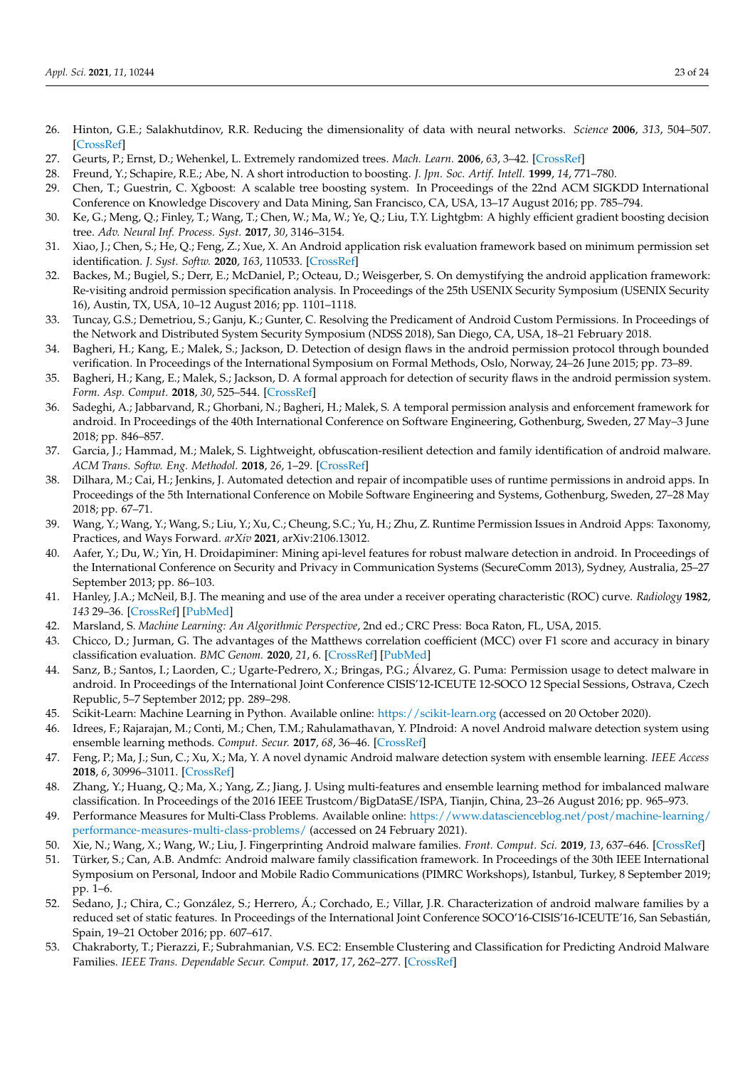- <span id="page-22-0"></span>26. Hinton, G.E.; Salakhutdinov, R.R. Reducing the dimensionality of data with neural networks. *Science* **2006**, *313*, 504–507. [\[CrossRef\]](http://dx.doi.org/10.1126/science.1127647)
- <span id="page-22-1"></span>27. Geurts, P.; Ernst, D.; Wehenkel, L. Extremely randomized trees. *Mach. Learn.* **2006**, *63*, 3–42. [\[CrossRef\]](http://dx.doi.org/10.1007/s10994-006-6226-1)
- <span id="page-22-2"></span>28. Freund, Y.; Schapire, R.E.; Abe, N. A short introduction to boosting. *J. Jpn. Soc. Artif. Intell.* **1999**, *14*, 771–780.
- <span id="page-22-3"></span>29. Chen, T.; Guestrin, C. Xgboost: A scalable tree boosting system. In Proceedings of the 22nd ACM SIGKDD International Conference on Knowledge Discovery and Data Mining, San Francisco, CA, USA, 13–17 August 2016; pp. 785–794.
- <span id="page-22-4"></span>30. Ke, G.; Meng, Q.; Finley, T.; Wang, T.; Chen, W.; Ma, W.; Ye, Q.; Liu, T.Y. Lightgbm: A highly efficient gradient boosting decision tree. *Adv. Neural Inf. Process. Syst.* **2017**, *30*, 3146–3154.
- <span id="page-22-5"></span>31. Xiao, J.; Chen, S.; He, Q.; Feng, Z.; Xue, X. An Android application risk evaluation framework based on minimum permission set identification. *J. Syst. Softw.* **2020**, *163*, 110533. [\[CrossRef\]](http://dx.doi.org/10.1016/j.jss.2020.110533)
- <span id="page-22-6"></span>32. Backes, M.; Bugiel, S.; Derr, E.; McDaniel, P.; Octeau, D.; Weisgerber, S. On demystifying the android application framework: Re-visiting android permission specification analysis. In Proceedings of the 25th USENIX Security Symposium (USENIX Security 16), Austin, TX, USA, 10–12 August 2016; pp. 1101–1118.
- <span id="page-22-7"></span>33. Tuncay, G.S.; Demetriou, S.; Ganju, K.; Gunter, C. Resolving the Predicament of Android Custom Permissions. In Proceedings of the Network and Distributed System Security Symposium (NDSS 2018), San Diego, CA, USA, 18–21 February 2018.
- 34. Bagheri, H.; Kang, E.; Malek, S.; Jackson, D. Detection of design flaws in the android permission protocol through bounded verification. In Proceedings of the International Symposium on Formal Methods, Oslo, Norway, 24–26 June 2015; pp. 73–89.
- <span id="page-22-9"></span>35. Bagheri, H.; Kang, E.; Malek, S.; Jackson, D. A formal approach for detection of security flaws in the android permission system. *Form. Asp. Comput.* **2018**, *30*, 525–544. [\[CrossRef\]](http://dx.doi.org/10.1007/s00165-017-0445-z)
- <span id="page-22-8"></span>36. Sadeghi, A.; Jabbarvand, R.; Ghorbani, N.; Bagheri, H.; Malek, S. A temporal permission analysis and enforcement framework for android. In Proceedings of the 40th International Conference on Software Engineering, Gothenburg, Sweden, 27 May–3 June 2018; pp. 846–857.
- <span id="page-22-10"></span>37. Garcia, J.; Hammad, M.; Malek, S. Lightweight, obfuscation-resilient detection and family identification of android malware. *ACM Trans. Softw. Eng. Methodol.* **2018**, *26*, 1–29. [\[CrossRef\]](http://dx.doi.org/10.1145/3162625)
- <span id="page-22-11"></span>38. Dilhara, M.; Cai, H.; Jenkins, J. Automated detection and repair of incompatible uses of runtime permissions in android apps. In Proceedings of the 5th International Conference on Mobile Software Engineering and Systems, Gothenburg, Sweden, 27–28 May 2018; pp. 67–71.
- <span id="page-22-12"></span>39. Wang, Y.; Wang, Y.; Wang, S.; Liu, Y.; Xu, C.; Cheung, S.C.; Yu, H.; Zhu, Z. Runtime Permission Issues in Android Apps: Taxonomy, Practices, and Ways Forward. *arXiv* **2021**, arXiv:2106.13012.
- <span id="page-22-13"></span>40. Aafer, Y.; Du, W.; Yin, H. Droidapiminer: Mining api-level features for robust malware detection in android. In Proceedings of the International Conference on Security and Privacy in Communication Systems (SecureComm 2013), Sydney, Australia, 25–27 September 2013; pp. 86–103.
- <span id="page-22-14"></span>41. Hanley, J.A.; McNeil, B.J. The meaning and use of the area under a receiver operating characteristic (ROC) curve. *Radiology* **1982**, *143* 29–36. [\[CrossRef\]](http://dx.doi.org/10.1148/radiology.143.1.7063747) [\[PubMed\]](http://www.ncbi.nlm.nih.gov/pubmed/7063747)
- <span id="page-22-15"></span>42. Marsland, S. *Machine Learning: An Algorithmic Perspective*, 2nd ed.; CRC Press: Boca Raton, FL, USA, 2015.
- <span id="page-22-16"></span>43. Chicco, D.; Jurman, G. The advantages of the Matthews correlation coefficient (MCC) over F1 score and accuracy in binary classification evaluation. *BMC Genom.* **2020**, *21*, 6. [\[CrossRef\]](http://dx.doi.org/10.1186/s12864-019-6413-7) [\[PubMed\]](http://www.ncbi.nlm.nih.gov/pubmed/31898477)
- <span id="page-22-17"></span>44. Sanz, B.; Santos, I.; Laorden, C.; Ugarte-Pedrero, X.; Bringas, P.G.; Álvarez, G. Puma: Permission usage to detect malware in android. In Proceedings of the International Joint Conference CISIS'12-ICEUTE 12-SOCO 12 Special Sessions, Ostrava, Czech Republic, 5–7 September 2012; pp. 289–298.
- <span id="page-22-18"></span>45. Scikit-Learn: Machine Learning in Python. Available online: <https://scikit-learn.org> (accessed on 20 October 2020).
- <span id="page-22-19"></span>46. Idrees, F.; Rajarajan, M.; Conti, M.; Chen, T.M.; Rahulamathavan, Y. PIndroid: A novel Android malware detection system using ensemble learning methods. *Comput. Secur.* **2017**, *68*, 36–46. [\[CrossRef\]](http://dx.doi.org/10.1016/j.cose.2017.03.011)
- 47. Feng, P.; Ma, J.; Sun, C.; Xu, X.; Ma, Y. A novel dynamic Android malware detection system with ensemble learning. *IEEE Access* **2018**, *6*, 30996–31011. [\[CrossRef\]](http://dx.doi.org/10.1109/ACCESS.2018.2844349)
- <span id="page-22-20"></span>48. Zhang, Y.; Huang, Q.; Ma, X.; Yang, Z.; Jiang, J. Using multi-features and ensemble learning method for imbalanced malware classification. In Proceedings of the 2016 IEEE Trustcom/BigDataSE/ISPA, Tianjin, China, 23–26 August 2016; pp. 965–973.
- <span id="page-22-21"></span>49. Performance Measures for Multi-Class Problems. Available online: [https://www.datascienceblog.net/post/machine-learning/](https://www.datascienceblog.net/post/machine-learning/performance-measures-multi-class-problems/) [performance-measures-multi-class-problems/](https://www.datascienceblog.net/post/machine-learning/performance-measures-multi-class-problems/) (accessed on 24 February 2021).
- <span id="page-22-22"></span>50. Xie, N.; Wang, X.; Wang, W.; Liu, J. Fingerprinting Android malware families. *Front. Comput. Sci.* **2019**, *13*, 637–646. [\[CrossRef\]](http://dx.doi.org/10.1007/s11704-017-6493-y)
- <span id="page-22-23"></span>51. Türker, S.; Can, A.B. Andmfc: Android malware family classification framework. In Proceedings of the 30th IEEE International Symposium on Personal, Indoor and Mobile Radio Communications (PIMRC Workshops), Istanbul, Turkey, 8 September 2019; pp. 1–6.
- <span id="page-22-24"></span>52. Sedano, J.; Chira, C.; González, S.; Herrero, Á.; Corchado, E.; Villar, J.R. Characterization of android malware families by a reduced set of static features. In Proceedings of the International Joint Conference SOCO'16-CISIS'16-ICEUTE'16, San Sebastián, Spain, 19–21 October 2016; pp. 607–617.
- <span id="page-22-25"></span>53. Chakraborty, T.; Pierazzi, F.; Subrahmanian, V.S. EC2: Ensemble Clustering and Classification for Predicting Android Malware Families. *IEEE Trans. Dependable Secur. Comput.* **2017**, *17*, 262–277. [\[CrossRef\]](http://dx.doi.org/10.1109/TDSC.2017.2739145)